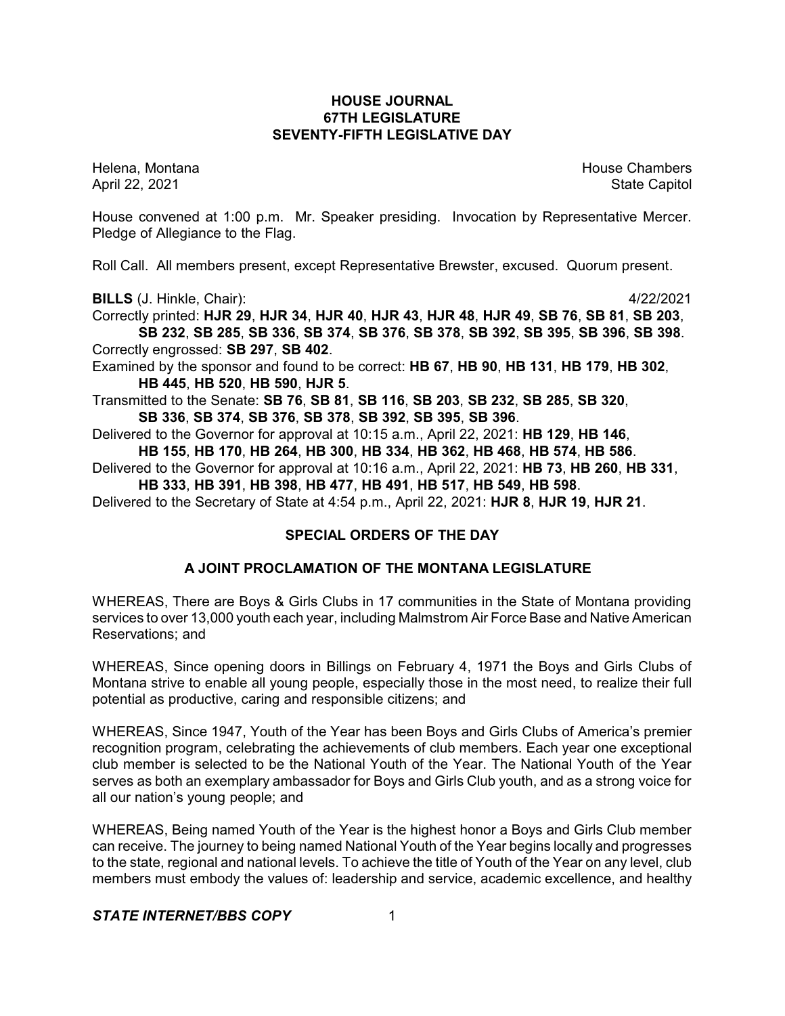## **HOUSE JOURNAL 67TH LEGISLATURE SEVENTY-FIFTH LEGISLATIVE DAY**

Helena, Montana House Chambers Chambers Chambers and House Chambers Chambers Chambers Chambers Chambers Chambers Chambers Chambers Chambers Chambers Chambers Chambers Chambers Chambers Chambers Chambers Chambers Chambers C April 22, 2021 State Capitol

House convened at 1:00 p.m. Mr. Speaker presiding. Invocation by Representative Mercer. Pledge of Allegiance to the Flag.

Roll Call. All members present, except Representative Brewster, excused. Quorum present.

**BILLS** (J. Hinkle, Chair): 4/22/2021

Correctly printed: **HJR 29**, **HJR 34**, **HJR 40**, **HJR 43**, **HJR 48**, **HJR 49**, **SB 76**, **SB 81**, **SB 203**, **SB 232**, **SB 285**, **SB 336**, **SB 374**, **SB 376**, **SB 378**, **SB 392**, **SB 395**, **SB 396**, **SB 398**. Correctly engrossed: **SB 297**, **SB 402**.

Examined by the sponsor and found to be correct: **HB 67**, **HB 90**, **HB 131**, **HB 179**, **HB 302**, **HB 445**, **HB 520**, **HB 590**, **HJR 5**.

Transmitted to the Senate: **SB 76**, **SB 81**, **SB 116**, **SB 203**, **SB 232**, **SB 285**, **SB 320**, **SB 336**, **SB 374**, **SB 376**, **SB 378**, **SB 392**, **SB 395**, **SB 396**.

Delivered to the Governor for approval at 10:15 a.m., April 22, 2021: **HB 129**, **HB 146**, **HB 155**, **HB 170**, **HB 264**, **HB 300**, **HB 334**, **HB 362**, **HB 468**, **HB 574**, **HB 586**.

Delivered to the Governor for approval at 10:16 a.m., April 22, 2021: **HB 73**, **HB 260**, **HB 331**, **HB 333**, **HB 391**, **HB 398**, **HB 477**, **HB 491**, **HB 517**, **HB 549**, **HB 598**.

Delivered to the Secretary of State at 4:54 p.m., April 22, 2021: **HJR 8**, **HJR 19**, **HJR 21**.

# **SPECIAL ORDERS OF THE DAY**

# **A JOINT PROCLAMATION OF THE MONTANA LEGISLATURE**

WHEREAS, There are Boys & Girls Clubs in 17 communities in the State of Montana providing services to over 13,000 youth each year, including Malmstrom Air Force Base and Native American Reservations; and

WHEREAS, Since opening doors in Billings on February 4, 1971 the Boys and Girls Clubs of Montana strive to enable all young people, especially those in the most need, to realize their full potential as productive, caring and responsible citizens; and

WHEREAS, Since 1947, Youth of the Year has been Boys and Girls Clubs of America's premier recognition program, celebrating the achievements of club members. Each year one exceptional club member is selected to be the National Youth of the Year. The National Youth of the Year serves as both an exemplary ambassador for Boys and Girls Club youth, and as a strong voice for all our nation's young people; and

WHEREAS, Being named Youth of the Year is the highest honor a Boys and Girls Club member can receive. The journey to being named National Youth of the Year begins locally and progresses to the state, regional and national levels. To achieve the title of Youth of the Year on any level, club members must embody the values of: leadership and service, academic excellence, and healthy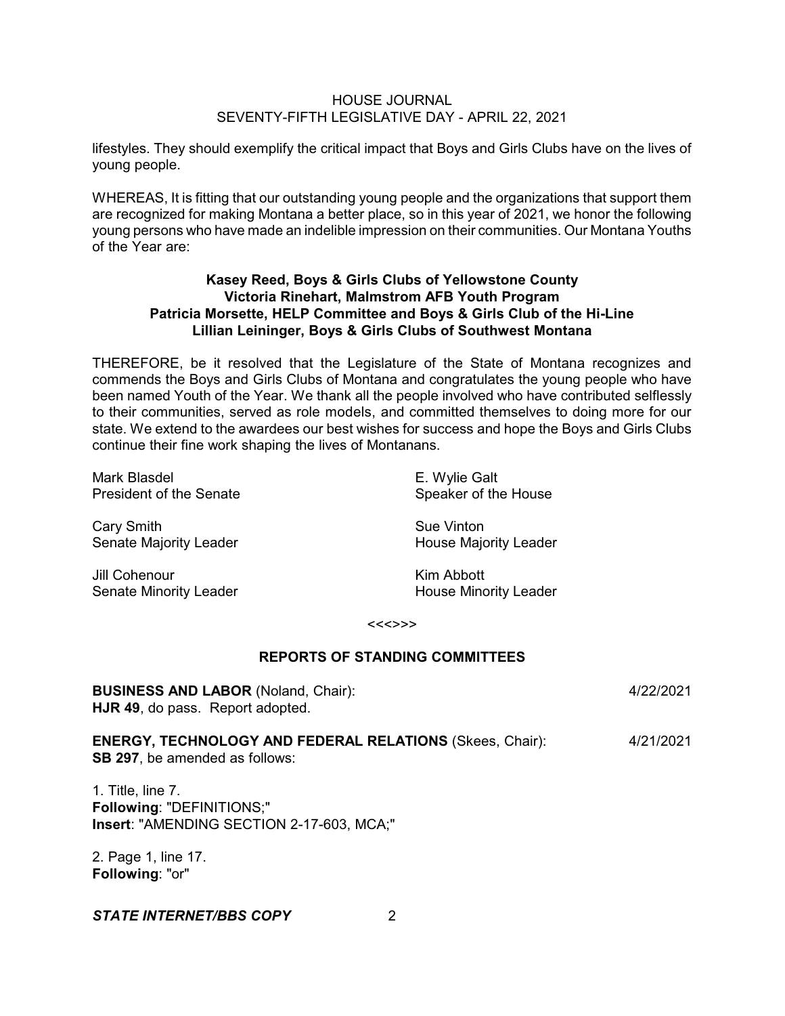lifestyles. They should exemplify the critical impact that Boys and Girls Clubs have on the lives of young people.

WHEREAS, It is fitting that our outstanding young people and the organizations that support them are recognized for making Montana a better place, so in this year of 2021, we honor the following young persons who have made an indelible impression on their communities. Our Montana Youths of the Year are:

# **Kasey Reed, Boys & Girls Clubs of Yellowstone County Victoria Rinehart, Malmstrom AFB Youth Program Patricia Morsette, HELP Committee and Boys & Girls Club of the Hi-Line Lillian Leininger, Boys & Girls Clubs of Southwest Montana**

THEREFORE, be it resolved that the Legislature of the State of Montana recognizes and commends the Boys and Girls Clubs of Montana and congratulates the young people who have been named Youth of the Year. We thank all the people involved who have contributed selflessly to their communities, served as role models, and committed themselves to doing more for our state. We extend to the awardees our best wishes for success and hope the Boys and Girls Clubs continue their fine work shaping the lives of Montanans.

| Mark Blasdel                   | E. Wylie Galt                |
|--------------------------------|------------------------------|
| <b>President of the Senate</b> | Speaker of the House         |
| Cary Smith                     | Sue Vinton                   |
| Senate Majority Leader         | <b>House Majority Leader</b> |
| Jill Cohenour                  | Kim Abbott                   |

Senate Minority Leader **House Minority Leader** House Minority Leader

#### <<<>>>

## **REPORTS OF STANDING COMMITTEES**

| <b>BUSINESS AND LABOR (Noland, Chair):</b><br><b>HJR 49, do pass. Report adopted.</b>                    | 4/22/2021 |
|----------------------------------------------------------------------------------------------------------|-----------|
| <b>ENERGY, TECHNOLOGY AND FEDERAL RELATIONS (Skees, Chair):</b><br><b>SB 297, be amended as follows:</b> | 4/21/2021 |
| $\overline{4}$ Title line $\overline{7}$                                                                 |           |

1. Title, line 7. **Following**: "DEFINITIONS;" **Insert**: "AMENDING SECTION 2-17-603, MCA;"

2. Page 1, line 17. **Following**: "or"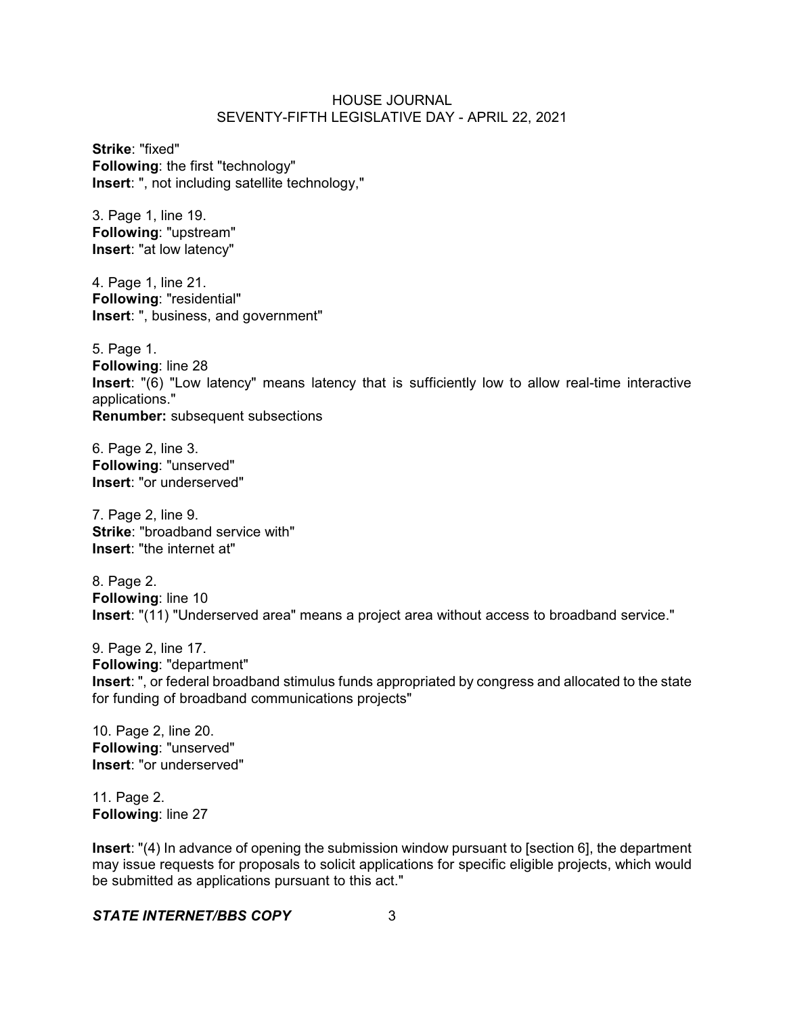**Strike**: "fixed" **Following**: the first "technology" **Insert**: ", not including satellite technology,"

3. Page 1, line 19. **Following**: "upstream" **Insert**: "at low latency"

4. Page 1, line 21. **Following**: "residential" **Insert**: ", business, and government"

5. Page 1. **Following**: line 28 **Insert**: "(6) "Low latency" means latency that is sufficiently low to allow real-time interactive applications." **Renumber:** subsequent subsections

6. Page 2, line 3. **Following**: "unserved" **Insert**: "or underserved"

7. Page 2, line 9. **Strike**: "broadband service with" **Insert**: "the internet at"

8. Page 2. **Following**: line 10 **Insert**: "(11) "Underserved area" means a project area without access to broadband service."

9. Page 2, line 17. **Following**: "department" **Insert**: ", or federal broadband stimulus funds appropriated by congress and allocated to the state for funding of broadband communications projects"

10. Page 2, line 20. **Following**: "unserved" **Insert**: "or underserved"

11. Page 2. **Following**: line 27

**Insert**: "(4) In advance of opening the submission window pursuant to [section 6], the department may issue requests for proposals to solicit applications for specific eligible projects, which would be submitted as applications pursuant to this act."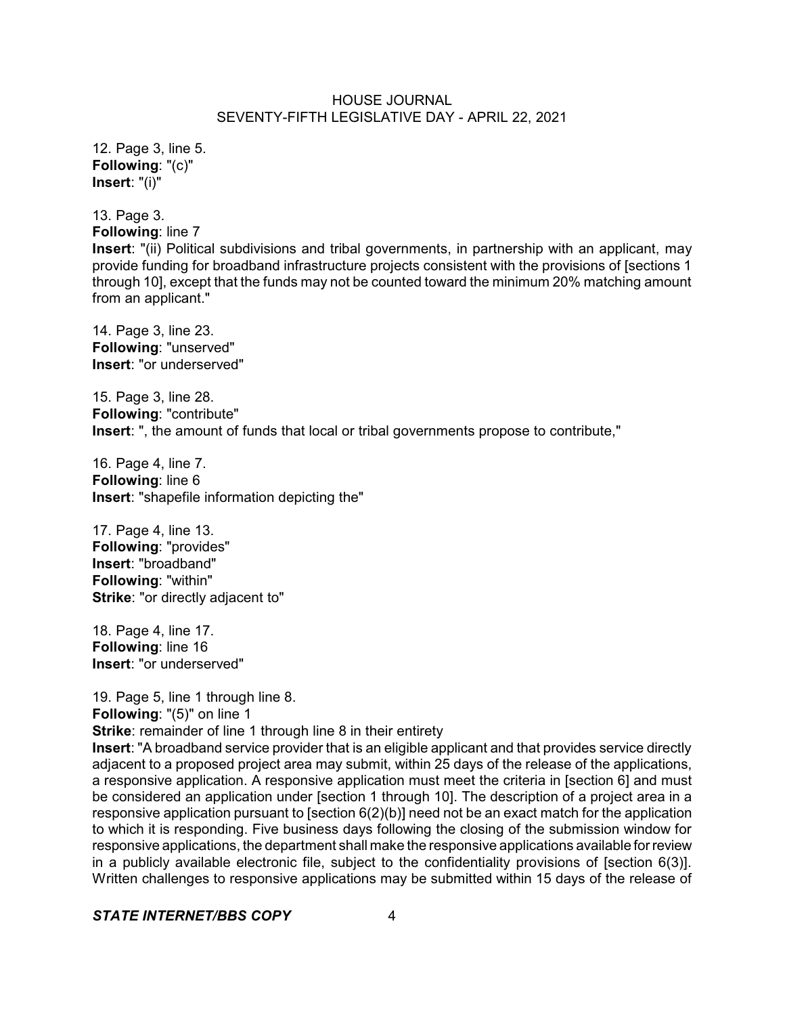12. Page 3, line 5. **Following**: "(c)" **Insert**: "(i)"

13. Page 3.

**Following**: line 7 **Insert**: "(ii) Political subdivisions and tribal governments, in partnership with an applicant, may provide funding for broadband infrastructure projects consistent with the provisions of [sections 1 through 10], except that the funds may not be counted toward the minimum 20% matching amount from an applicant."

14. Page 3, line 23. **Following**: "unserved" **Insert**: "or underserved"

15. Page 3, line 28. **Following**: "contribute" **Insert**: ", the amount of funds that local or tribal governments propose to contribute,"

16. Page 4, line 7. **Following**: line 6 **Insert**: "shapefile information depicting the"

17. Page 4, line 13. **Following**: "provides" **Insert**: "broadband" **Following**: "within" **Strike**: "or directly adjacent to"

18. Page 4, line 17. **Following**: line 16 **Insert**: "or underserved"

19. Page 5, line 1 through line 8. **Following**: "(5)" on line 1 **Strike:** remainder of line 1 through line 8 in their entirety

**Insert**: "A broadband service provider that is an eligible applicant and that provides service directly adjacent to a proposed project area may submit, within 25 days of the release of the applications, a responsive application. A responsive application must meet the criteria in [section 6] and must be considered an application under [section 1 through 10]. The description of a project area in a responsive application pursuant to [section 6(2)(b)] need not be an exact match for the application to which it is responding. Five business days following the closing of the submission window for responsive applications, the department shall make the responsive applications available forreview in a publicly available electronic file, subject to the confidentiality provisions of [section 6(3)]. Written challenges to responsive applications may be submitted within 15 days of the release of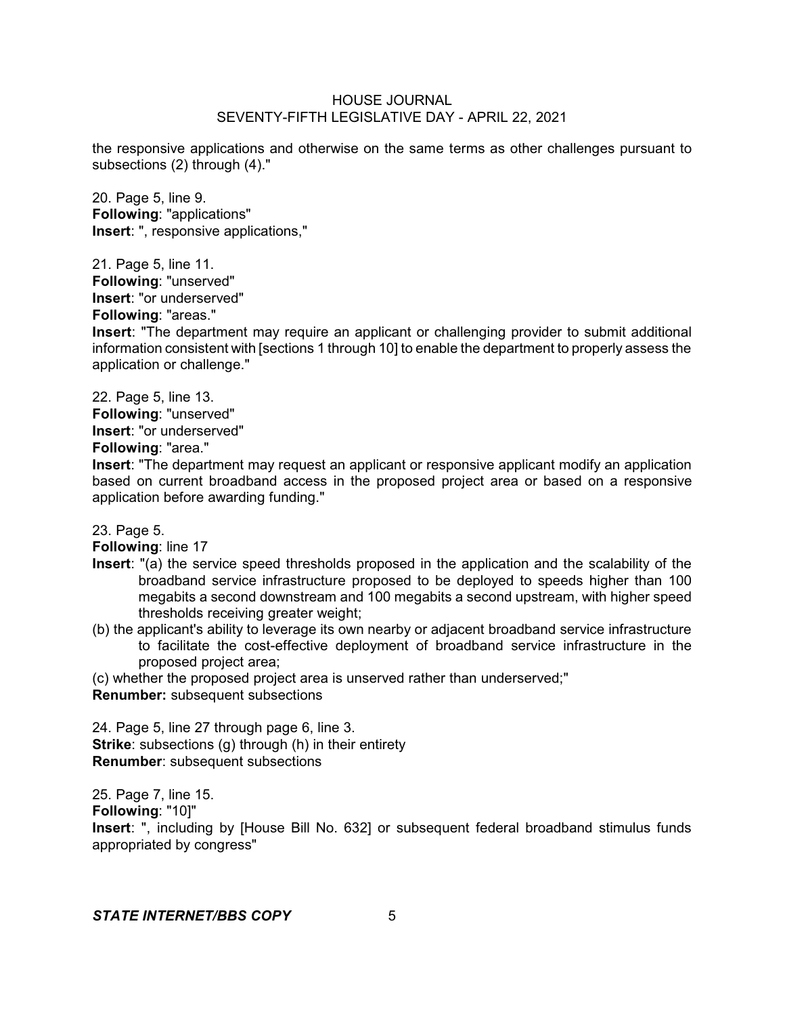the responsive applications and otherwise on the same terms as other challenges pursuant to subsections (2) through (4)."

20. Page 5, line 9. **Following**: "applications" **Insert**: ", responsive applications,"

21. Page 5, line 11.

**Following**: "unserved"

**Insert**: "or underserved"

**Following**: "areas."

**Insert**: "The department may require an applicant or challenging provider to submit additional information consistent with [sections 1 through 10] to enable the department to properly assess the application or challenge."

22. Page 5, line 13.

**Following**: "unserved"

**Insert**: "or underserved"

**Following**: "area."

**Insert**: "The department may request an applicant or responsive applicant modify an application based on current broadband access in the proposed project area or based on a responsive application before awarding funding."

23. Page 5.

**Following**: line 17

- **Insert**: "(a) the service speed thresholds proposed in the application and the scalability of the broadband service infrastructure proposed to be deployed to speeds higher than 100 megabits a second downstream and 100 megabits a second upstream, with higher speed thresholds receiving greater weight;
- (b) the applicant's ability to leverage its own nearby or adjacent broadband service infrastructure to facilitate the cost-effective deployment of broadband service infrastructure in the proposed project area;

(c) whether the proposed project area is unserved rather than underserved;"

**Renumber:** subsequent subsections

24. Page 5, line 27 through page 6, line 3. **Strike**: subsections (g) through (h) in their entirety **Renumber**: subsequent subsections

25. Page 7, line 15.

**Following**: "10]"

**Insert**: ", including by [House Bill No. 632] or subsequent federal broadband stimulus funds appropriated by congress"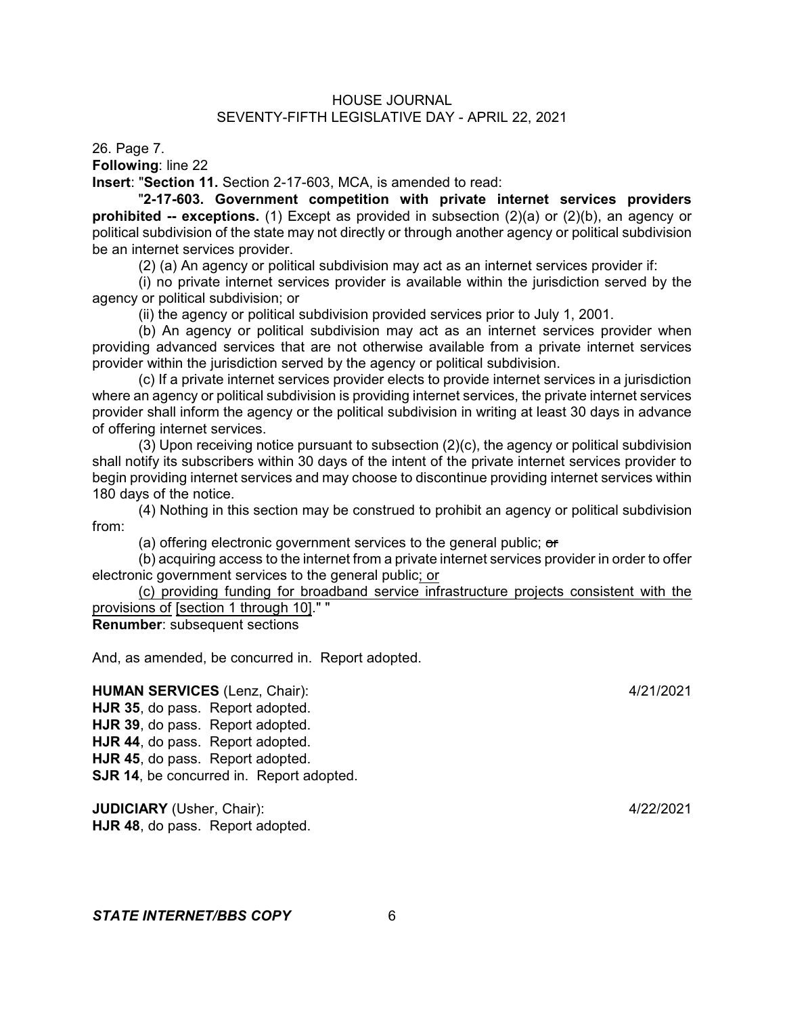26. Page 7.

**Following**: line 22

**Insert**: "**Section 11.** Section 2-17-603, MCA, is amended to read:

"**2-17-603. Government competition with private internet services providers prohibited -- exceptions.** (1) Except as provided in subsection (2)(a) or (2)(b), an agency or political subdivision of the state may not directly or through another agency or political subdivision be an internet services provider.

(2) (a) An agency or political subdivision may act as an internet services provider if:

(i) no private internet services provider is available within the jurisdiction served by the agency or political subdivision; or

(ii) the agency or political subdivision provided services prior to July 1, 2001.

(b) An agency or political subdivision may act as an internet services provider when providing advanced services that are not otherwise available from a private internet services provider within the jurisdiction served by the agency or political subdivision.

(c) If a private internet services provider elects to provide internet services in a jurisdiction where an agency or political subdivision is providing internet services, the private internet services provider shall inform the agency or the political subdivision in writing at least 30 days in advance of offering internet services.

(3) Upon receiving notice pursuant to subsection (2)(c), the agency or political subdivision shall notify its subscribers within 30 days of the intent of the private internet services provider to begin providing internet services and may choose to discontinue providing internet services within 180 days of the notice.

(4) Nothing in this section may be construed to prohibit an agency or political subdivision from:

(a) offering electronic government services to the general public; or

(b) acquiring access to the internet from a private internet services provider in order to offer electronic government services to the general public; or

(c) providing funding for broadband service infrastructure projects consistent with the provisions of [section 1 through 10]." "

**Renumber**: subsequent sections

And, as amended, be concurred in. Report adopted.

**HUMAN SERVICES** (Lenz, Chair): 4/21/2021

**HJR 35**, do pass. Report adopted. **HJR 39**, do pass. Report adopted. **HJR 44**, do pass. Report adopted. **HJR 45**, do pass. Report adopted. **SJR 14, be concurred in. Report adopted.** 

**JUDICIARY** (Usher, Chair): 4/22/2021 **HJR 48**, do pass. Report adopted.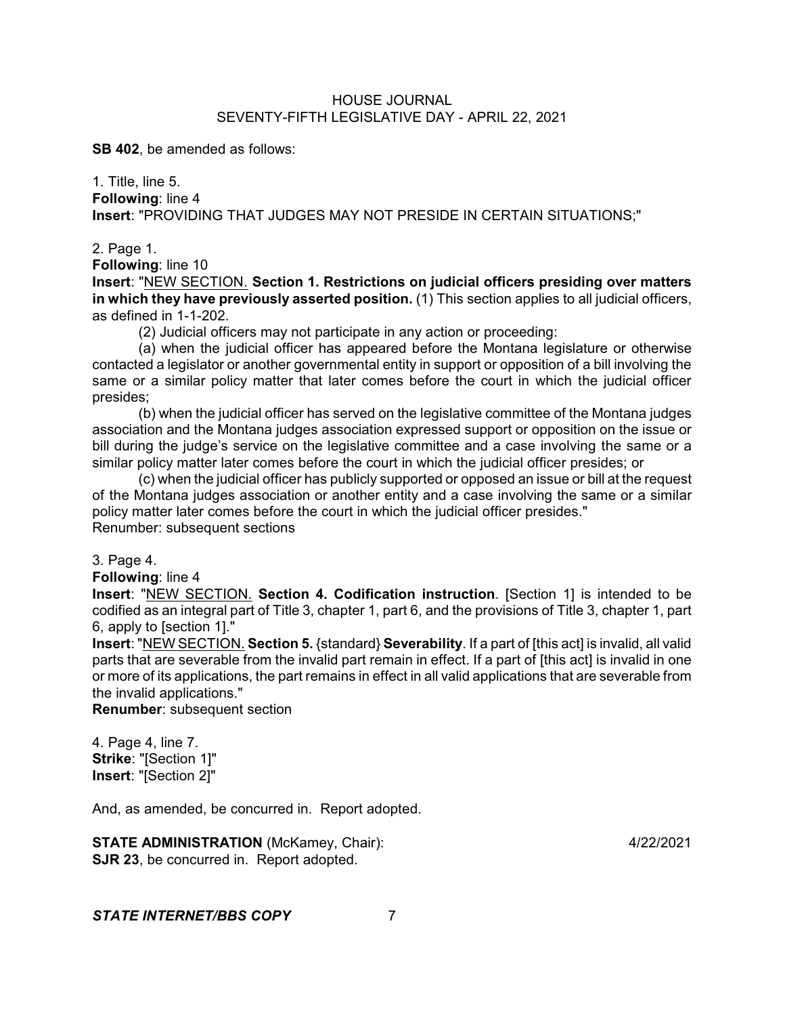**SB 402**, be amended as follows:

1. Title, line 5. **Following**: line 4 **Insert**: "PROVIDING THAT JUDGES MAY NOT PRESIDE IN CERTAIN SITUATIONS;"

#### 2. Page 1.

**Following**: line 10

**Insert**: "NEW SECTION. **Section 1. Restrictions on judicial officers presiding over matters in which they have previously asserted position.** (1) This section applies to all judicial officers, as defined in 1-1-202.

(2) Judicial officers may not participate in any action or proceeding:

(a) when the judicial officer has appeared before the Montana legislature or otherwise contacted a legislator or another governmental entity in support or opposition of a bill involving the same or a similar policy matter that later comes before the court in which the judicial officer presides;

(b) when the judicial officer has served on the legislative committee of the Montana judges association and the Montana judges association expressed support or opposition on the issue or bill during the judge's service on the legislative committee and a case involving the same or a similar policy matter later comes before the court in which the judicial officer presides; or

(c) when the judicial officer has publicly supported or opposed an issue or bill at the request of the Montana judges association or another entity and a case involving the same or a similar policy matter later comes before the court in which the judicial officer presides." Renumber: subsequent sections

3. Page 4.

**Following**: line 4

**Insert**: "NEW SECTION. **Section 4. Codification instruction**. [Section 1] is intended to be codified as an integral part of Title 3, chapter 1, part 6, and the provisions of Title 3, chapter 1, part 6, apply to [section 1]."

**Insert**: "NEW SECTION. **Section 5.** {standard} **Severability**. If a part of [this act] is invalid, all valid parts that are severable from the invalid part remain in effect. If a part of [this act] is invalid in one or more of its applications, the part remains in effect in all valid applications that are severable from the invalid applications."

**Renumber**: subsequent section

4. Page 4, line 7. **Strike**: "[Section 1]" **Insert**: "[Section 2]"

And, as amended, be concurred in. Report adopted.

**STATE ADMINISTRATION** (McKamey, Chair): 4/22/2021 **SJR 23**, be concurred in. Report adopted.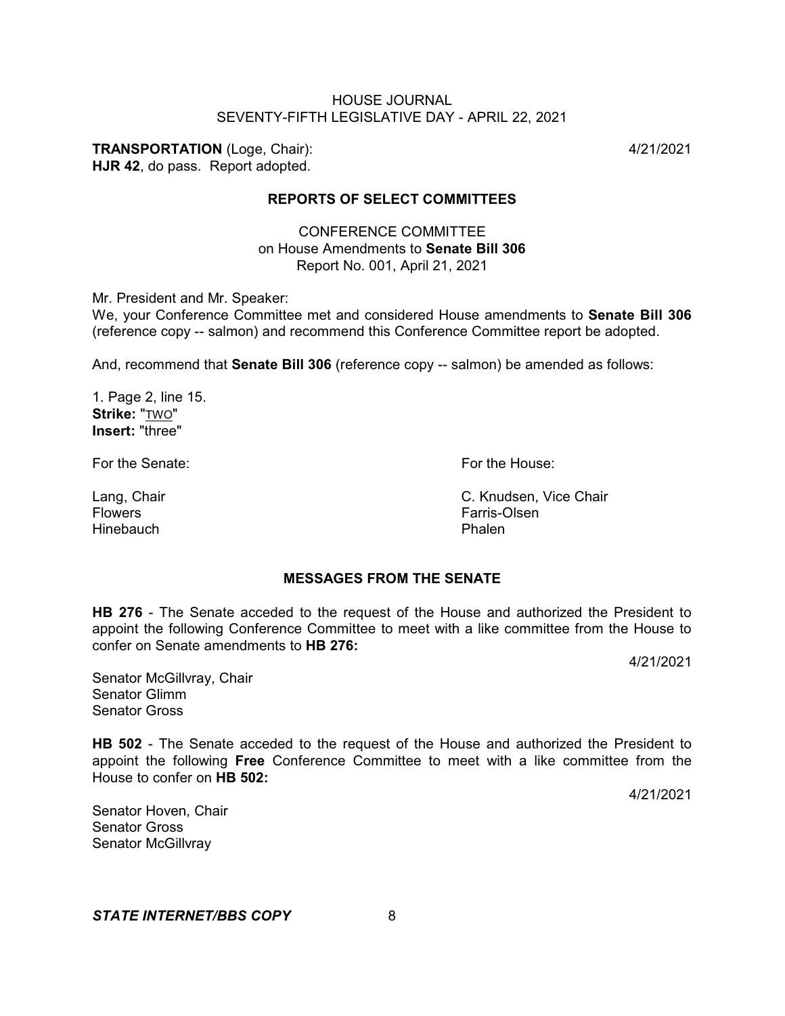**TRANSPORTATION** (Loge, Chair): 4/21/2021

**HJR 42**, do pass. Report adopted.

# **REPORTS OF SELECT COMMITTEES**

CONFERENCE COMMITTEE on House Amendments to **Senate Bill 306** Report No. 001, April 21, 2021

Mr. President and Mr. Speaker:

We, your Conference Committee met and considered House amendments to **Senate Bill 306** (reference copy -- salmon) and recommend this Conference Committee report be adopted.

And, recommend that **Senate Bill 306** (reference copy -- salmon) be amended as follows:

1. Page 2, line 15. **Strike:** "TWO" **Insert:** "three"

For the Senate: For the House:

**MESSAGES FROM THE SENATE**

**HB 276** - The Senate acceded to the request of the House and authorized the President to appoint the following Conference Committee to meet with a like committee from the House to confer on Senate amendments to **HB 276:**

4/21/2021

Senator McGillvray, Chair Senator Glimm Senator Gross

**HB 502** - The Senate acceded to the request of the House and authorized the President to appoint the following **Free** Conference Committee to meet with a like committee from the House to confer on **HB 502:**

4/21/2021

Senator Hoven, Chair Senator Gross Senator McGillvray

*STATE INTERNET/BBS COPY* 8

Lang, Chair C. Knudsen, Vice Chair Flowers Farris-Olsen Hinebauch Phalen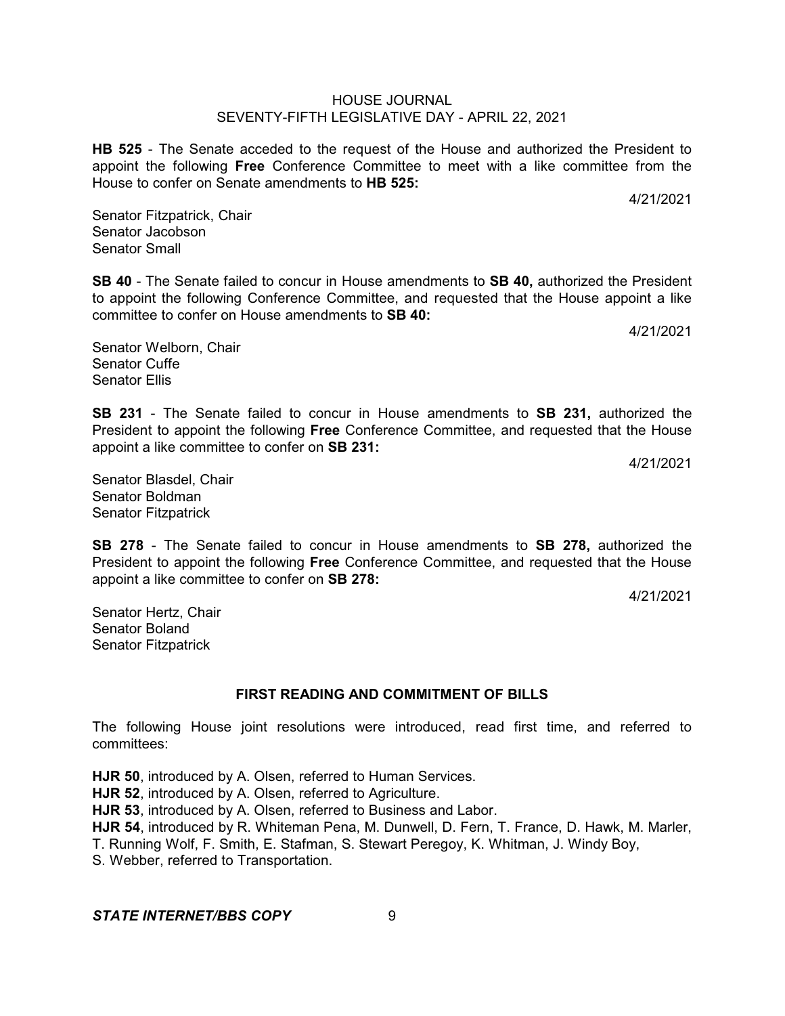**HB 525** - The Senate acceded to the request of the House and authorized the President to appoint the following **Free** Conference Committee to meet with a like committee from the House to confer on Senate amendments to **HB 525:**

Senator Fitzpatrick, Chair Senator Jacobson Senator Small

**SB 40** - The Senate failed to concur in House amendments to **SB 40,** authorized the President to appoint the following Conference Committee, and requested that the House appoint a like committee to confer on House amendments to **SB 40:**

Senator Welborn, Chair Senator Cuffe Senator Ellis

**SB 231** - The Senate failed to concur in House amendments to **SB 231,** authorized the President to appoint the following **Free** Conference Committee, and requested that the House appoint a like committee to confer on **SB 231:**

4/21/2021

Senator Blasdel, Chair Senator Boldman Senator Fitzpatrick

**SB 278** - The Senate failed to concur in House amendments to **SB 278,** authorized the President to appoint the following **Free** Conference Committee, and requested that the House appoint a like committee to confer on **SB 278:**

4/21/2021

Senator Hertz, Chair Senator Boland Senator Fitzpatrick

# **FIRST READING AND COMMITMENT OF BILLS**

The following House joint resolutions were introduced, read first time, and referred to committees:

**HJR 50**, introduced by A. Olsen, referred to Human Services. **HJR 52**, introduced by A. Olsen, referred to Agriculture. **HJR 53**, introduced by A. Olsen, referred to Business and Labor. **HJR 54**, introduced by R. Whiteman Pena, M. Dunwell, D. Fern, T. France, D. Hawk, M. Marler, T. Running Wolf, F. Smith, E. Stafman, S. Stewart Peregoy, K. Whitman, J. Windy Boy, S. Webber, referred to Transportation.

## **STATE INTERNET/BBS COPY** 9

4/21/2021

4/21/2021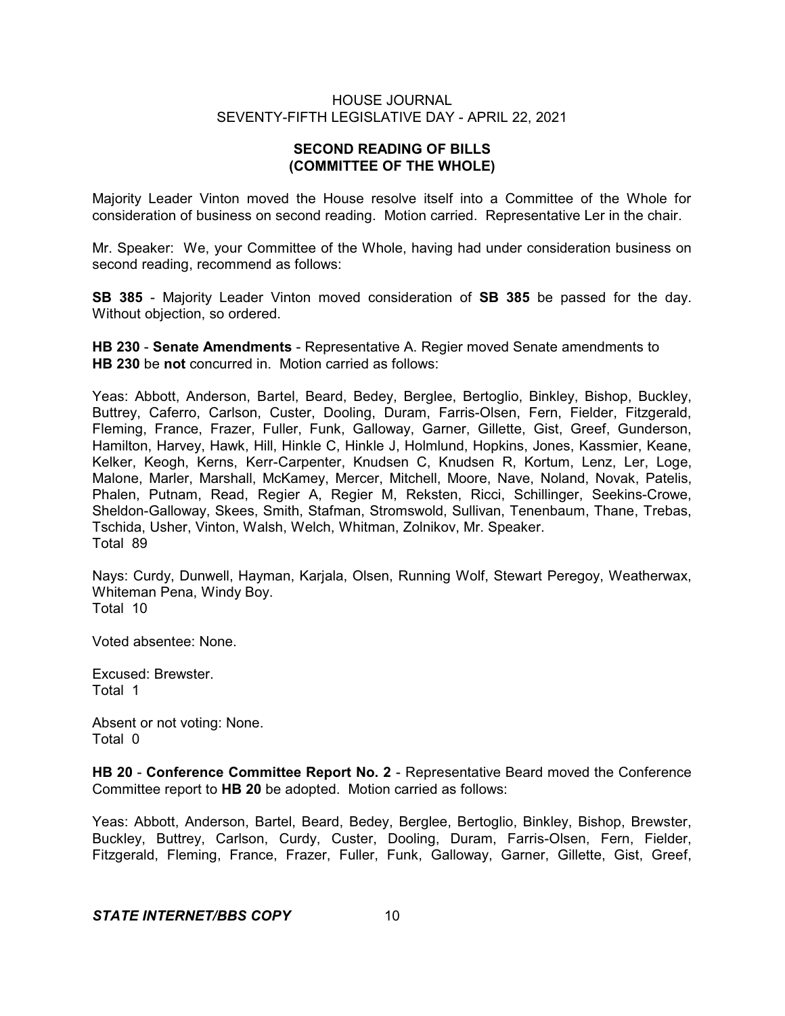# **SECOND READING OF BILLS (COMMITTEE OF THE WHOLE)**

Majority Leader Vinton moved the House resolve itself into a Committee of the Whole for consideration of business on second reading. Motion carried. Representative Ler in the chair.

Mr. Speaker: We, your Committee of the Whole, having had under consideration business on second reading, recommend as follows:

**SB 385** - Majority Leader Vinton moved consideration of **SB 385** be passed for the day. Without objection, so ordered.

**HB 230** - **Senate Amendments** - Representative A. Regier moved Senate amendments to **HB 230** be **not** concurred in. Motion carried as follows:

Yeas: Abbott, Anderson, Bartel, Beard, Bedey, Berglee, Bertoglio, Binkley, Bishop, Buckley, Buttrey, Caferro, Carlson, Custer, Dooling, Duram, Farris-Olsen, Fern, Fielder, Fitzgerald, Fleming, France, Frazer, Fuller, Funk, Galloway, Garner, Gillette, Gist, Greef, Gunderson, Hamilton, Harvey, Hawk, Hill, Hinkle C, Hinkle J, Holmlund, Hopkins, Jones, Kassmier, Keane, Kelker, Keogh, Kerns, Kerr-Carpenter, Knudsen C, Knudsen R, Kortum, Lenz, Ler, Loge, Malone, Marler, Marshall, McKamey, Mercer, Mitchell, Moore, Nave, Noland, Novak, Patelis, Phalen, Putnam, Read, Regier A, Regier M, Reksten, Ricci, Schillinger, Seekins-Crowe, Sheldon-Galloway, Skees, Smith, Stafman, Stromswold, Sullivan, Tenenbaum, Thane, Trebas, Tschida, Usher, Vinton, Walsh, Welch, Whitman, Zolnikov, Mr. Speaker. Total 89

Nays: Curdy, Dunwell, Hayman, Karjala, Olsen, Running Wolf, Stewart Peregoy, Weatherwax, Whiteman Pena, Windy Boy. Total 10

Voted absentee: None.

Excused: Brewster. Total 1

Absent or not voting: None. Total 0

**HB 20** - **Conference Committee Report No. 2** - Representative Beard moved the Conference Committee report to **HB 20** be adopted. Motion carried as follows:

Yeas: Abbott, Anderson, Bartel, Beard, Bedey, Berglee, Bertoglio, Binkley, Bishop, Brewster, Buckley, Buttrey, Carlson, Curdy, Custer, Dooling, Duram, Farris-Olsen, Fern, Fielder, Fitzgerald, Fleming, France, Frazer, Fuller, Funk, Galloway, Garner, Gillette, Gist, Greef,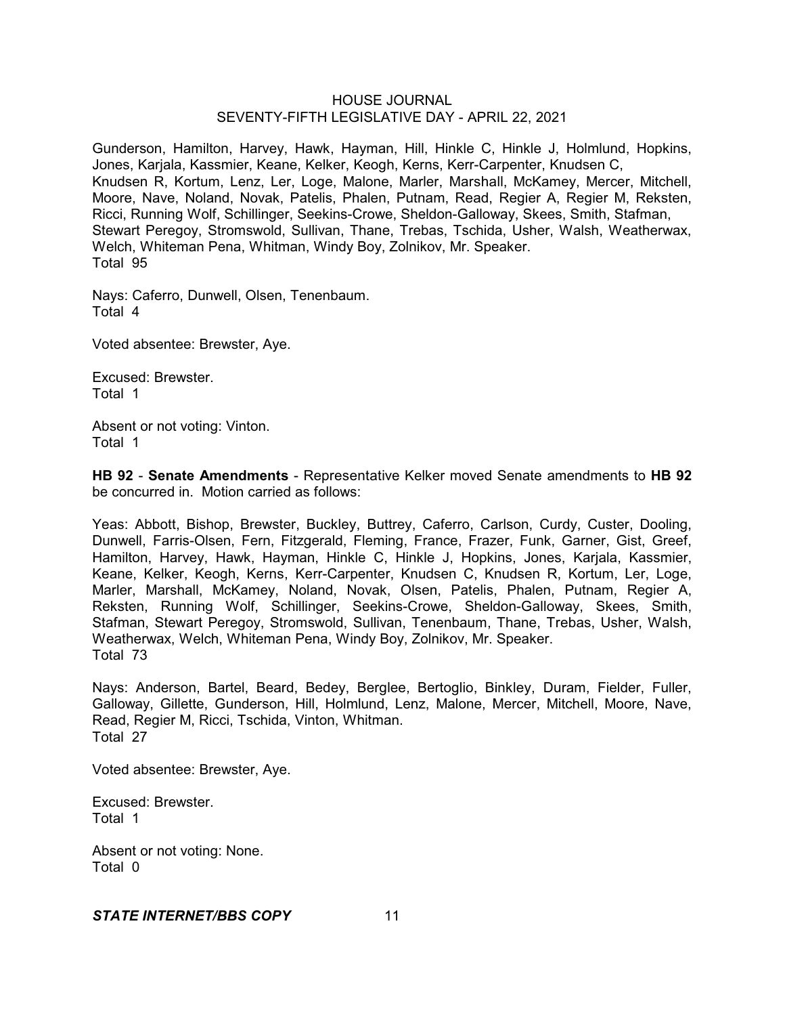Gunderson, Hamilton, Harvey, Hawk, Hayman, Hill, Hinkle C, Hinkle J, Holmlund, Hopkins, Jones, Karjala, Kassmier, Keane, Kelker, Keogh, Kerns, Kerr-Carpenter, Knudsen C, Knudsen R, Kortum, Lenz, Ler, Loge, Malone, Marler, Marshall, McKamey, Mercer, Mitchell, Moore, Nave, Noland, Novak, Patelis, Phalen, Putnam, Read, Regier A, Regier M, Reksten, Ricci, Running Wolf, Schillinger, Seekins-Crowe, Sheldon-Galloway, Skees, Smith, Stafman, Stewart Peregoy, Stromswold, Sullivan, Thane, Trebas, Tschida, Usher, Walsh, Weatherwax, Welch, Whiteman Pena, Whitman, Windy Boy, Zolnikov, Mr. Speaker. Total 95

Nays: Caferro, Dunwell, Olsen, Tenenbaum. Total 4

Voted absentee: Brewster, Aye.

Excused: Brewster. Total 1

Absent or not voting: Vinton. Total 1

**HB 92** - **Senate Amendments** - Representative Kelker moved Senate amendments to **HB 92** be concurred in. Motion carried as follows:

Yeas: Abbott, Bishop, Brewster, Buckley, Buttrey, Caferro, Carlson, Curdy, Custer, Dooling, Dunwell, Farris-Olsen, Fern, Fitzgerald, Fleming, France, Frazer, Funk, Garner, Gist, Greef, Hamilton, Harvey, Hawk, Hayman, Hinkle C, Hinkle J, Hopkins, Jones, Karjala, Kassmier, Keane, Kelker, Keogh, Kerns, Kerr-Carpenter, Knudsen C, Knudsen R, Kortum, Ler, Loge, Marler, Marshall, McKamey, Noland, Novak, Olsen, Patelis, Phalen, Putnam, Regier A, Reksten, Running Wolf, Schillinger, Seekins-Crowe, Sheldon-Galloway, Skees, Smith, Stafman, Stewart Peregoy, Stromswold, Sullivan, Tenenbaum, Thane, Trebas, Usher, Walsh, Weatherwax, Welch, Whiteman Pena, Windy Boy, Zolnikov, Mr. Speaker. Total 73

Nays: Anderson, Bartel, Beard, Bedey, Berglee, Bertoglio, Binkley, Duram, Fielder, Fuller, Galloway, Gillette, Gunderson, Hill, Holmlund, Lenz, Malone, Mercer, Mitchell, Moore, Nave, Read, Regier M, Ricci, Tschida, Vinton, Whitman. Total 27

Voted absentee: Brewster, Aye.

Excused: Brewster. Total 1

Absent or not voting: None. Total 0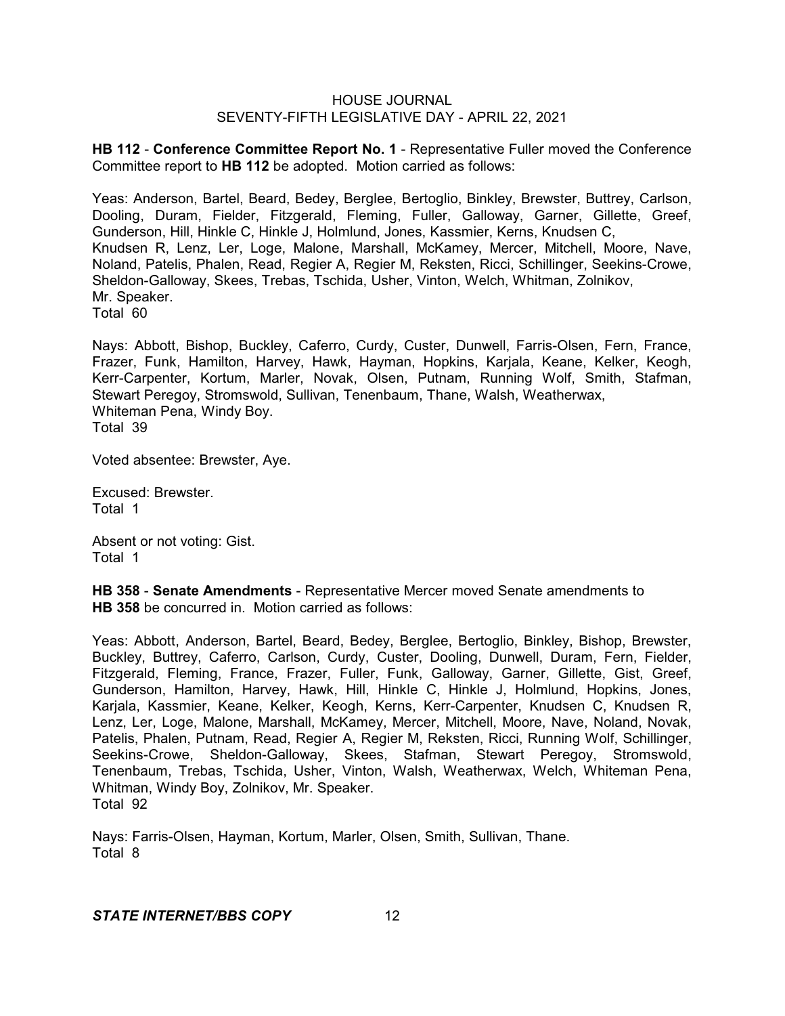**HB 112** - **Conference Committee Report No. 1** - Representative Fuller moved the Conference Committee report to **HB 112** be adopted. Motion carried as follows:

Yeas: Anderson, Bartel, Beard, Bedey, Berglee, Bertoglio, Binkley, Brewster, Buttrey, Carlson, Dooling, Duram, Fielder, Fitzgerald, Fleming, Fuller, Galloway, Garner, Gillette, Greef, Gunderson, Hill, Hinkle C, Hinkle J, Holmlund, Jones, Kassmier, Kerns, Knudsen C, Knudsen R, Lenz, Ler, Loge, Malone, Marshall, McKamey, Mercer, Mitchell, Moore, Nave, Noland, Patelis, Phalen, Read, Regier A, Regier M, Reksten, Ricci, Schillinger, Seekins-Crowe, Sheldon-Galloway, Skees, Trebas, Tschida, Usher, Vinton, Welch, Whitman, Zolnikov, Mr. Speaker. Total 60

Nays: Abbott, Bishop, Buckley, Caferro, Curdy, Custer, Dunwell, Farris-Olsen, Fern, France, Frazer, Funk, Hamilton, Harvey, Hawk, Hayman, Hopkins, Karjala, Keane, Kelker, Keogh, Kerr-Carpenter, Kortum, Marler, Novak, Olsen, Putnam, Running Wolf, Smith, Stafman, Stewart Peregoy, Stromswold, Sullivan, Tenenbaum, Thane, Walsh, Weatherwax, Whiteman Pena, Windy Boy. Total 39

Voted absentee: Brewster, Aye.

Excused: Brewster. Total 1

Absent or not voting: Gist. Total 1

**HB 358** - **Senate Amendments** - Representative Mercer moved Senate amendments to **HB 358** be concurred in. Motion carried as follows:

Yeas: Abbott, Anderson, Bartel, Beard, Bedey, Berglee, Bertoglio, Binkley, Bishop, Brewster, Buckley, Buttrey, Caferro, Carlson, Curdy, Custer, Dooling, Dunwell, Duram, Fern, Fielder, Fitzgerald, Fleming, France, Frazer, Fuller, Funk, Galloway, Garner, Gillette, Gist, Greef, Gunderson, Hamilton, Harvey, Hawk, Hill, Hinkle C, Hinkle J, Holmlund, Hopkins, Jones, Karjala, Kassmier, Keane, Kelker, Keogh, Kerns, Kerr-Carpenter, Knudsen C, Knudsen R, Lenz, Ler, Loge, Malone, Marshall, McKamey, Mercer, Mitchell, Moore, Nave, Noland, Novak, Patelis, Phalen, Putnam, Read, Regier A, Regier M, Reksten, Ricci, Running Wolf, Schillinger, Seekins-Crowe, Sheldon-Galloway, Skees, Stafman, Stewart Peregoy, Stromswold, Tenenbaum, Trebas, Tschida, Usher, Vinton, Walsh, Weatherwax, Welch, Whiteman Pena, Whitman, Windy Boy, Zolnikov, Mr. Speaker. Total 92

Nays: Farris-Olsen, Hayman, Kortum, Marler, Olsen, Smith, Sullivan, Thane. Total 8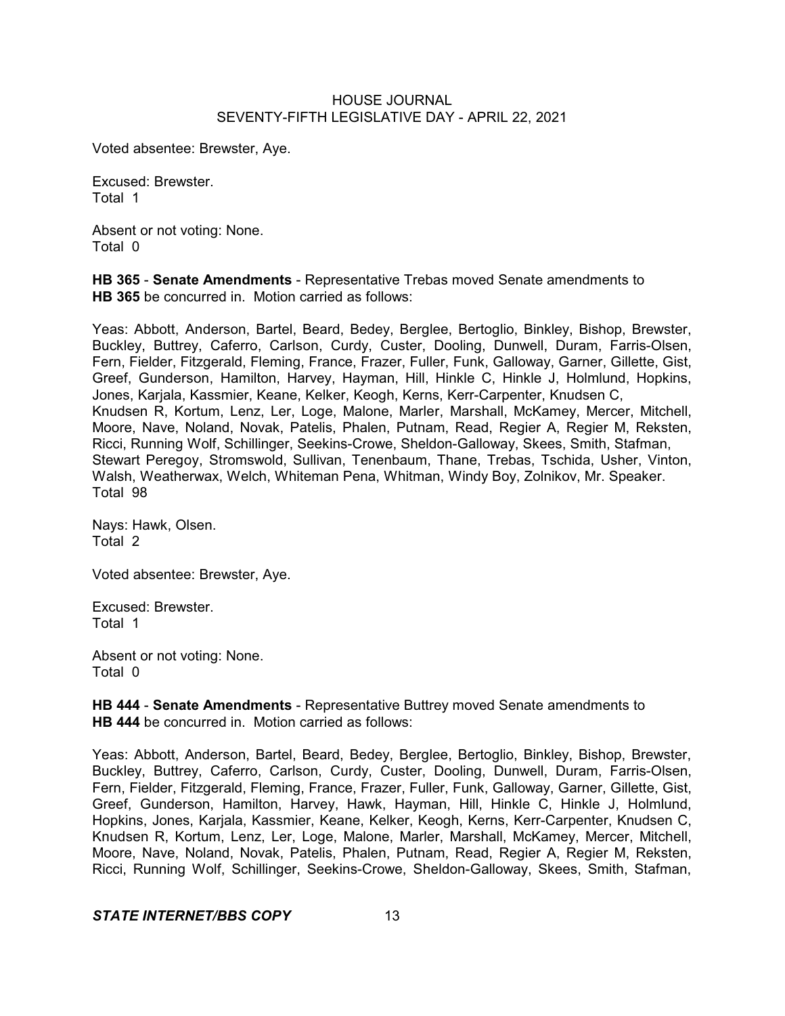Voted absentee: Brewster, Aye.

Excused: Brewster. Total 1

Absent or not voting: None. Total 0

**HB 365** - **Senate Amendments** - Representative Trebas moved Senate amendments to **HB 365** be concurred in. Motion carried as follows:

Yeas: Abbott, Anderson, Bartel, Beard, Bedey, Berglee, Bertoglio, Binkley, Bishop, Brewster, Buckley, Buttrey, Caferro, Carlson, Curdy, Custer, Dooling, Dunwell, Duram, Farris-Olsen, Fern, Fielder, Fitzgerald, Fleming, France, Frazer, Fuller, Funk, Galloway, Garner, Gillette, Gist, Greef, Gunderson, Hamilton, Harvey, Hayman, Hill, Hinkle C, Hinkle J, Holmlund, Hopkins, Jones, Karjala, Kassmier, Keane, Kelker, Keogh, Kerns, Kerr-Carpenter, Knudsen C, Knudsen R, Kortum, Lenz, Ler, Loge, Malone, Marler, Marshall, McKamey, Mercer, Mitchell, Moore, Nave, Noland, Novak, Patelis, Phalen, Putnam, Read, Regier A, Regier M, Reksten, Ricci, Running Wolf, Schillinger, Seekins-Crowe, Sheldon-Galloway, Skees, Smith, Stafman, Stewart Peregoy, Stromswold, Sullivan, Tenenbaum, Thane, Trebas, Tschida, Usher, Vinton, Walsh, Weatherwax, Welch, Whiteman Pena, Whitman, Windy Boy, Zolnikov, Mr. Speaker. Total 98

Nays: Hawk, Olsen. Total 2

Voted absentee: Brewster, Aye.

Excused: Brewster. Total 1

Absent or not voting: None. Total 0

**HB 444** - **Senate Amendments** - Representative Buttrey moved Senate amendments to **HB 444** be concurred in. Motion carried as follows:

Yeas: Abbott, Anderson, Bartel, Beard, Bedey, Berglee, Bertoglio, Binkley, Bishop, Brewster, Buckley, Buttrey, Caferro, Carlson, Curdy, Custer, Dooling, Dunwell, Duram, Farris-Olsen, Fern, Fielder, Fitzgerald, Fleming, France, Frazer, Fuller, Funk, Galloway, Garner, Gillette, Gist, Greef, Gunderson, Hamilton, Harvey, Hawk, Hayman, Hill, Hinkle C, Hinkle J, Holmlund, Hopkins, Jones, Karjala, Kassmier, Keane, Kelker, Keogh, Kerns, Kerr-Carpenter, Knudsen C, Knudsen R, Kortum, Lenz, Ler, Loge, Malone, Marler, Marshall, McKamey, Mercer, Mitchell, Moore, Nave, Noland, Novak, Patelis, Phalen, Putnam, Read, Regier A, Regier M, Reksten, Ricci, Running Wolf, Schillinger, Seekins-Crowe, Sheldon-Galloway, Skees, Smith, Stafman,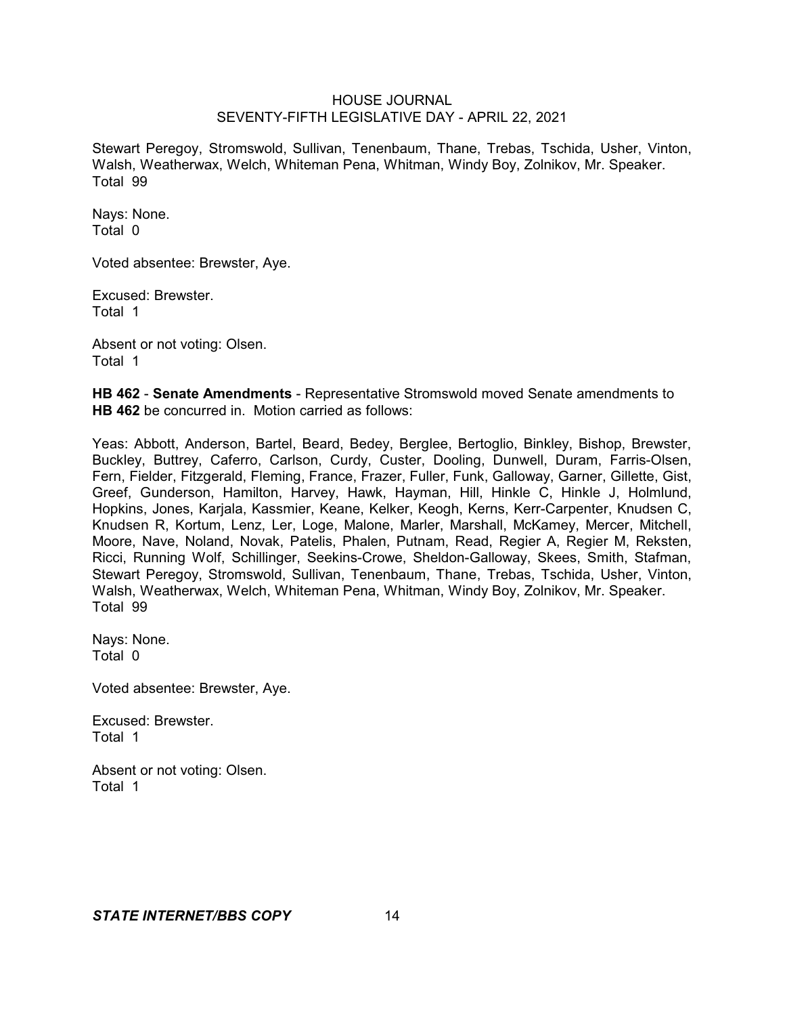Stewart Peregoy, Stromswold, Sullivan, Tenenbaum, Thane, Trebas, Tschida, Usher, Vinton, Walsh, Weatherwax, Welch, Whiteman Pena, Whitman, Windy Boy, Zolnikov, Mr. Speaker. Total 99

Nays: None. Total 0

Voted absentee: Brewster, Aye.

Excused: Brewster. Total 1

Absent or not voting: Olsen. Total 1

**HB 462** - **Senate Amendments** - Representative Stromswold moved Senate amendments to **HB 462** be concurred in. Motion carried as follows:

Yeas: Abbott, Anderson, Bartel, Beard, Bedey, Berglee, Bertoglio, Binkley, Bishop, Brewster, Buckley, Buttrey, Caferro, Carlson, Curdy, Custer, Dooling, Dunwell, Duram, Farris-Olsen, Fern, Fielder, Fitzgerald, Fleming, France, Frazer, Fuller, Funk, Galloway, Garner, Gillette, Gist, Greef, Gunderson, Hamilton, Harvey, Hawk, Hayman, Hill, Hinkle C, Hinkle J, Holmlund, Hopkins, Jones, Karjala, Kassmier, Keane, Kelker, Keogh, Kerns, Kerr-Carpenter, Knudsen C, Knudsen R, Kortum, Lenz, Ler, Loge, Malone, Marler, Marshall, McKamey, Mercer, Mitchell, Moore, Nave, Noland, Novak, Patelis, Phalen, Putnam, Read, Regier A, Regier M, Reksten, Ricci, Running Wolf, Schillinger, Seekins-Crowe, Sheldon-Galloway, Skees, Smith, Stafman, Stewart Peregoy, Stromswold, Sullivan, Tenenbaum, Thane, Trebas, Tschida, Usher, Vinton, Walsh, Weatherwax, Welch, Whiteman Pena, Whitman, Windy Boy, Zolnikov, Mr. Speaker. Total 99

Nays: None. Total 0

Voted absentee: Brewster, Aye.

Excused: Brewster. Total 1

Absent or not voting: Olsen. Total 1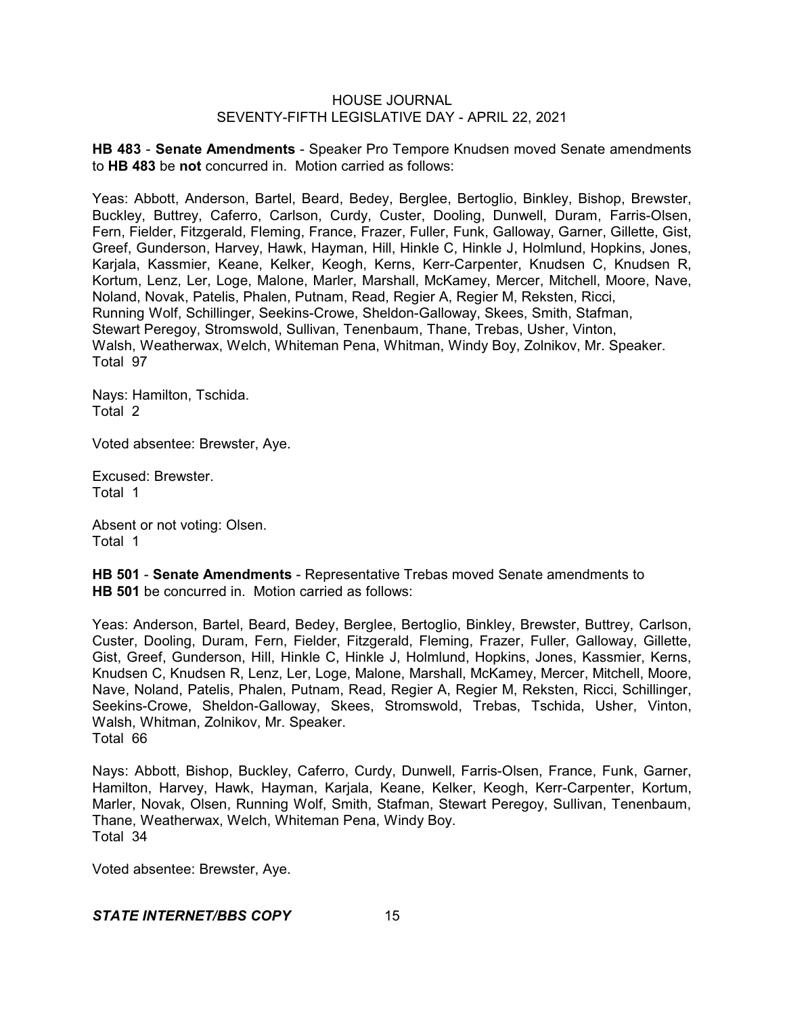**HB 483** - **Senate Amendments** - Speaker Pro Tempore Knudsen moved Senate amendments to **HB 483** be **not** concurred in. Motion carried as follows:

Yeas: Abbott, Anderson, Bartel, Beard, Bedey, Berglee, Bertoglio, Binkley, Bishop, Brewster, Buckley, Buttrey, Caferro, Carlson, Curdy, Custer, Dooling, Dunwell, Duram, Farris-Olsen, Fern, Fielder, Fitzgerald, Fleming, France, Frazer, Fuller, Funk, Galloway, Garner, Gillette, Gist, Greef, Gunderson, Harvey, Hawk, Hayman, Hill, Hinkle C, Hinkle J, Holmlund, Hopkins, Jones, Karjala, Kassmier, Keane, Kelker, Keogh, Kerns, Kerr-Carpenter, Knudsen C, Knudsen R, Kortum, Lenz, Ler, Loge, Malone, Marler, Marshall, McKamey, Mercer, Mitchell, Moore, Nave, Noland, Novak, Patelis, Phalen, Putnam, Read, Regier A, Regier M, Reksten, Ricci, Running Wolf, Schillinger, Seekins-Crowe, Sheldon-Galloway, Skees, Smith, Stafman, Stewart Peregoy, Stromswold, Sullivan, Tenenbaum, Thane, Trebas, Usher, Vinton, Walsh, Weatherwax, Welch, Whiteman Pena, Whitman, Windy Boy, Zolnikov, Mr. Speaker. Total 97

Nays: Hamilton, Tschida. Total 2

Voted absentee: Brewster, Aye.

Excused: Brewster. Total 1

Absent or not voting: Olsen. Total 1

**HB 501** - **Senate Amendments** - Representative Trebas moved Senate amendments to **HB 501** be concurred in. Motion carried as follows:

Yeas: Anderson, Bartel, Beard, Bedey, Berglee, Bertoglio, Binkley, Brewster, Buttrey, Carlson, Custer, Dooling, Duram, Fern, Fielder, Fitzgerald, Fleming, Frazer, Fuller, Galloway, Gillette, Gist, Greef, Gunderson, Hill, Hinkle C, Hinkle J, Holmlund, Hopkins, Jones, Kassmier, Kerns, Knudsen C, Knudsen R, Lenz, Ler, Loge, Malone, Marshall, McKamey, Mercer, Mitchell, Moore, Nave, Noland, Patelis, Phalen, Putnam, Read, Regier A, Regier M, Reksten, Ricci, Schillinger, Seekins-Crowe, Sheldon-Galloway, Skees, Stromswold, Trebas, Tschida, Usher, Vinton, Walsh, Whitman, Zolnikov, Mr. Speaker. Total 66

Nays: Abbott, Bishop, Buckley, Caferro, Curdy, Dunwell, Farris-Olsen, France, Funk, Garner, Hamilton, Harvey, Hawk, Hayman, Karjala, Keane, Kelker, Keogh, Kerr-Carpenter, Kortum, Marler, Novak, Olsen, Running Wolf, Smith, Stafman, Stewart Peregoy, Sullivan, Tenenbaum, Thane, Weatherwax, Welch, Whiteman Pena, Windy Boy. Total 34

Voted absentee: Brewster, Aye.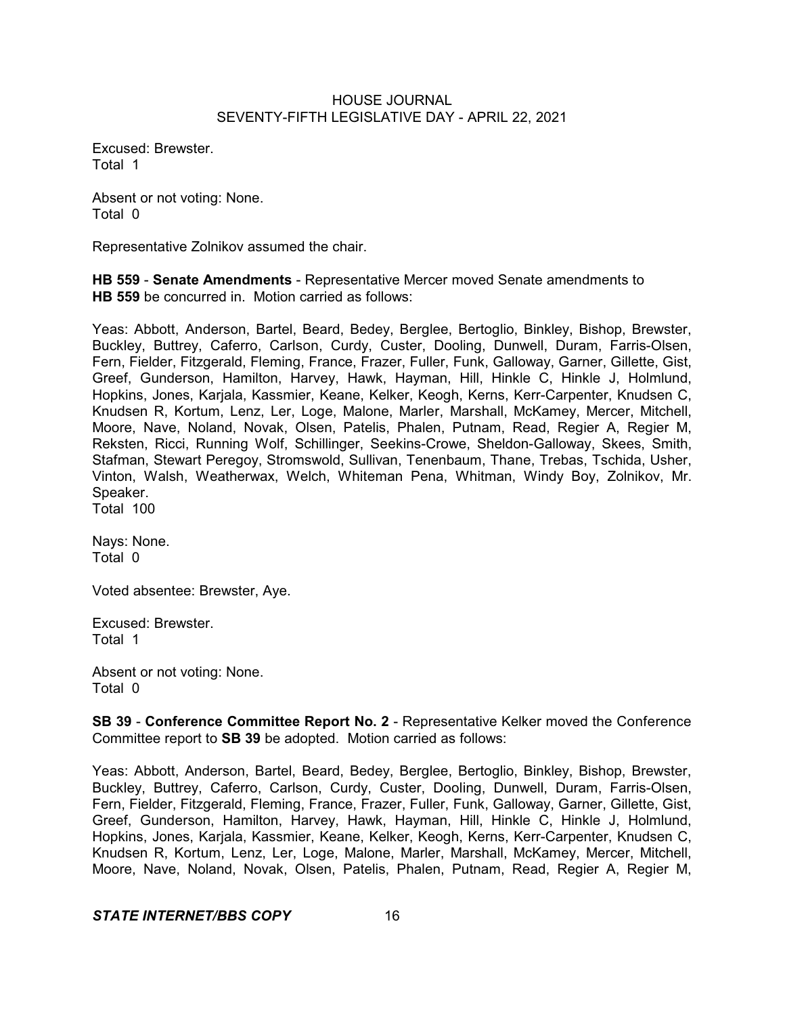Excused: Brewster. Total 1

Absent or not voting: None. Total 0

Representative Zolnikov assumed the chair.

**HB 559** - **Senate Amendments** - Representative Mercer moved Senate amendments to **HB 559** be concurred in. Motion carried as follows:

Yeas: Abbott, Anderson, Bartel, Beard, Bedey, Berglee, Bertoglio, Binkley, Bishop, Brewster, Buckley, Buttrey, Caferro, Carlson, Curdy, Custer, Dooling, Dunwell, Duram, Farris-Olsen, Fern, Fielder, Fitzgerald, Fleming, France, Frazer, Fuller, Funk, Galloway, Garner, Gillette, Gist, Greef, Gunderson, Hamilton, Harvey, Hawk, Hayman, Hill, Hinkle C, Hinkle J, Holmlund, Hopkins, Jones, Karjala, Kassmier, Keane, Kelker, Keogh, Kerns, Kerr-Carpenter, Knudsen C, Knudsen R, Kortum, Lenz, Ler, Loge, Malone, Marler, Marshall, McKamey, Mercer, Mitchell, Moore, Nave, Noland, Novak, Olsen, Patelis, Phalen, Putnam, Read, Regier A, Regier M, Reksten, Ricci, Running Wolf, Schillinger, Seekins-Crowe, Sheldon-Galloway, Skees, Smith, Stafman, Stewart Peregoy, Stromswold, Sullivan, Tenenbaum, Thane, Trebas, Tschida, Usher, Vinton, Walsh, Weatherwax, Welch, Whiteman Pena, Whitman, Windy Boy, Zolnikov, Mr. Speaker.

Total 100

Nays: None. Total 0

Voted absentee: Brewster, Aye.

Excused: Brewster. Total 1

Absent or not voting: None. Total 0

**SB 39** - **Conference Committee Report No. 2** - Representative Kelker moved the Conference Committee report to **SB 39** be adopted. Motion carried as follows:

Yeas: Abbott, Anderson, Bartel, Beard, Bedey, Berglee, Bertoglio, Binkley, Bishop, Brewster, Buckley, Buttrey, Caferro, Carlson, Curdy, Custer, Dooling, Dunwell, Duram, Farris-Olsen, Fern, Fielder, Fitzgerald, Fleming, France, Frazer, Fuller, Funk, Galloway, Garner, Gillette, Gist, Greef, Gunderson, Hamilton, Harvey, Hawk, Hayman, Hill, Hinkle C, Hinkle J, Holmlund, Hopkins, Jones, Karjala, Kassmier, Keane, Kelker, Keogh, Kerns, Kerr-Carpenter, Knudsen C, Knudsen R, Kortum, Lenz, Ler, Loge, Malone, Marler, Marshall, McKamey, Mercer, Mitchell, Moore, Nave, Noland, Novak, Olsen, Patelis, Phalen, Putnam, Read, Regier A, Regier M,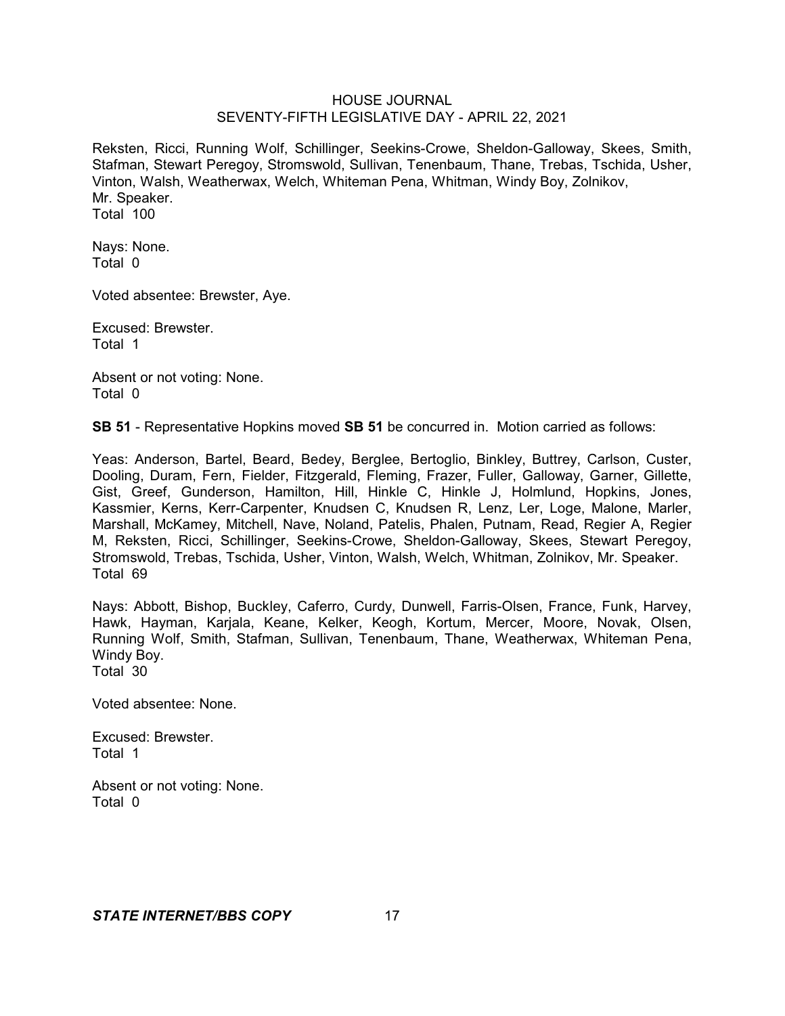Reksten, Ricci, Running Wolf, Schillinger, Seekins-Crowe, Sheldon-Galloway, Skees, Smith, Stafman, Stewart Peregoy, Stromswold, Sullivan, Tenenbaum, Thane, Trebas, Tschida, Usher, Vinton, Walsh, Weatherwax, Welch, Whiteman Pena, Whitman, Windy Boy, Zolnikov, Mr. Speaker. Total 100

Nays: None. Total 0

Voted absentee: Brewster, Aye.

Excused: Brewster. Total 1

Absent or not voting: None. Total 0

**SB 51** - Representative Hopkins moved **SB 51** be concurred in. Motion carried as follows:

Yeas: Anderson, Bartel, Beard, Bedey, Berglee, Bertoglio, Binkley, Buttrey, Carlson, Custer, Dooling, Duram, Fern, Fielder, Fitzgerald, Fleming, Frazer, Fuller, Galloway, Garner, Gillette, Gist, Greef, Gunderson, Hamilton, Hill, Hinkle C, Hinkle J, Holmlund, Hopkins, Jones, Kassmier, Kerns, Kerr-Carpenter, Knudsen C, Knudsen R, Lenz, Ler, Loge, Malone, Marler, Marshall, McKamey, Mitchell, Nave, Noland, Patelis, Phalen, Putnam, Read, Regier A, Regier M, Reksten, Ricci, Schillinger, Seekins-Crowe, Sheldon-Galloway, Skees, Stewart Peregoy, Stromswold, Trebas, Tschida, Usher, Vinton, Walsh, Welch, Whitman, Zolnikov, Mr. Speaker. Total 69

Nays: Abbott, Bishop, Buckley, Caferro, Curdy, Dunwell, Farris-Olsen, France, Funk, Harvey, Hawk, Hayman, Karjala, Keane, Kelker, Keogh, Kortum, Mercer, Moore, Novak, Olsen, Running Wolf, Smith, Stafman, Sullivan, Tenenbaum, Thane, Weatherwax, Whiteman Pena, Windy Boy. Total 30

Voted absentee: None.

Excused: Brewster. Total 1

Absent or not voting: None. Total 0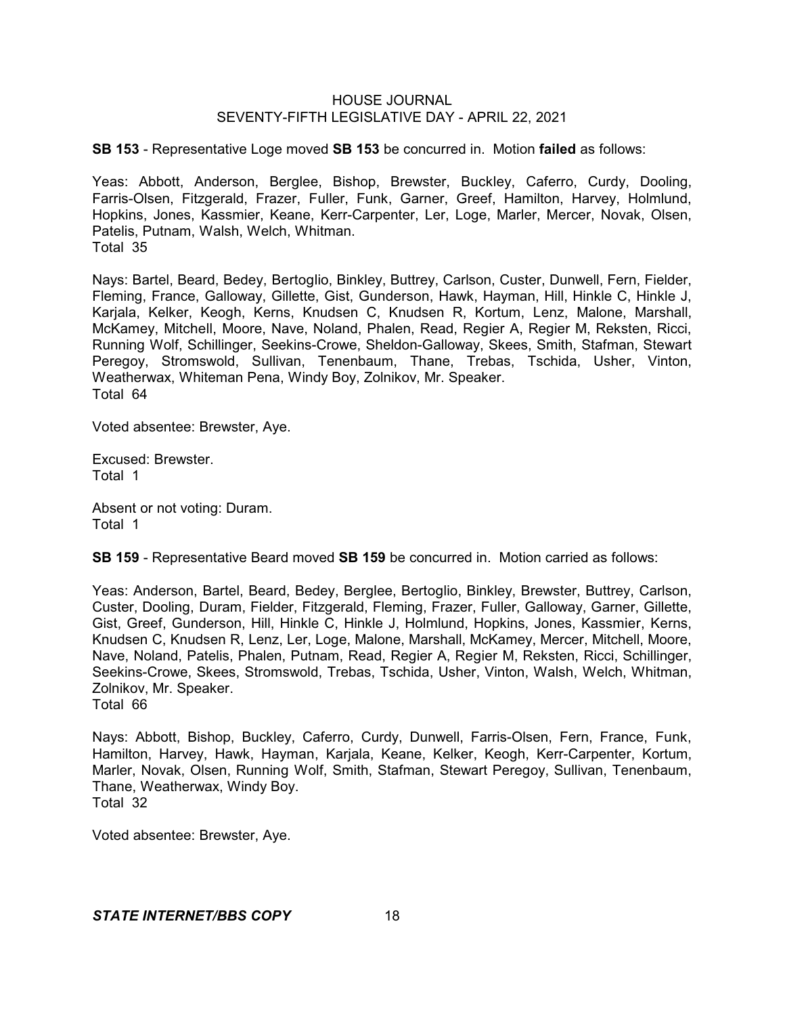**SB 153** - Representative Loge moved **SB 153** be concurred in. Motion **failed** as follows:

Yeas: Abbott, Anderson, Berglee, Bishop, Brewster, Buckley, Caferro, Curdy, Dooling, Farris-Olsen, Fitzgerald, Frazer, Fuller, Funk, Garner, Greef, Hamilton, Harvey, Holmlund, Hopkins, Jones, Kassmier, Keane, Kerr-Carpenter, Ler, Loge, Marler, Mercer, Novak, Olsen, Patelis, Putnam, Walsh, Welch, Whitman. Total 35

Nays: Bartel, Beard, Bedey, Bertoglio, Binkley, Buttrey, Carlson, Custer, Dunwell, Fern, Fielder, Fleming, France, Galloway, Gillette, Gist, Gunderson, Hawk, Hayman, Hill, Hinkle C, Hinkle J, Karjala, Kelker, Keogh, Kerns, Knudsen C, Knudsen R, Kortum, Lenz, Malone, Marshall, McKamey, Mitchell, Moore, Nave, Noland, Phalen, Read, Regier A, Regier M, Reksten, Ricci, Running Wolf, Schillinger, Seekins-Crowe, Sheldon-Galloway, Skees, Smith, Stafman, Stewart Peregoy, Stromswold, Sullivan, Tenenbaum, Thane, Trebas, Tschida, Usher, Vinton, Weatherwax, Whiteman Pena, Windy Boy, Zolnikov, Mr. Speaker. Total 64

Voted absentee: Brewster, Aye.

Excused: Brewster. Total 1

Absent or not voting: Duram. Total 1

**SB 159** - Representative Beard moved **SB 159** be concurred in. Motion carried as follows:

Yeas: Anderson, Bartel, Beard, Bedey, Berglee, Bertoglio, Binkley, Brewster, Buttrey, Carlson, Custer, Dooling, Duram, Fielder, Fitzgerald, Fleming, Frazer, Fuller, Galloway, Garner, Gillette, Gist, Greef, Gunderson, Hill, Hinkle C, Hinkle J, Holmlund, Hopkins, Jones, Kassmier, Kerns, Knudsen C, Knudsen R, Lenz, Ler, Loge, Malone, Marshall, McKamey, Mercer, Mitchell, Moore, Nave, Noland, Patelis, Phalen, Putnam, Read, Regier A, Regier M, Reksten, Ricci, Schillinger, Seekins-Crowe, Skees, Stromswold, Trebas, Tschida, Usher, Vinton, Walsh, Welch, Whitman, Zolnikov, Mr. Speaker.

Total 66

Nays: Abbott, Bishop, Buckley, Caferro, Curdy, Dunwell, Farris-Olsen, Fern, France, Funk, Hamilton, Harvey, Hawk, Hayman, Karjala, Keane, Kelker, Keogh, Kerr-Carpenter, Kortum, Marler, Novak, Olsen, Running Wolf, Smith, Stafman, Stewart Peregoy, Sullivan, Tenenbaum, Thane, Weatherwax, Windy Boy. Total 32

Voted absentee: Brewster, Aye.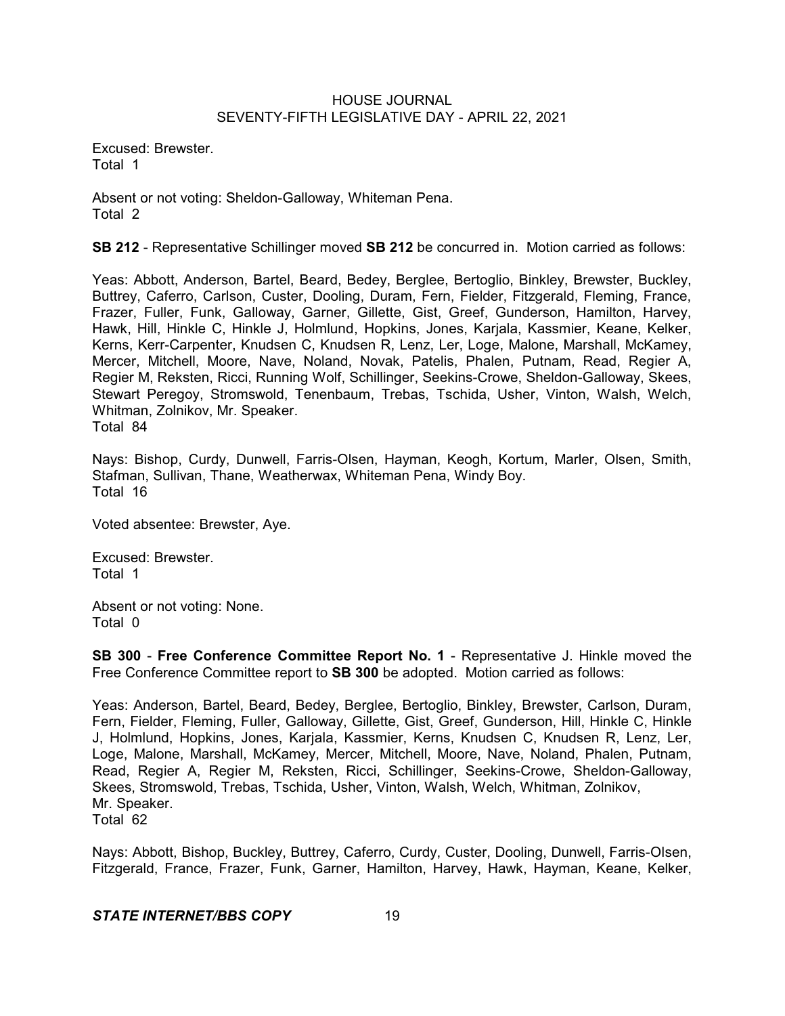Excused: Brewster. Total 1

Absent or not voting: Sheldon-Galloway, Whiteman Pena. Total 2

**SB 212** - Representative Schillinger moved **SB 212** be concurred in. Motion carried as follows:

Yeas: Abbott, Anderson, Bartel, Beard, Bedey, Berglee, Bertoglio, Binkley, Brewster, Buckley, Buttrey, Caferro, Carlson, Custer, Dooling, Duram, Fern, Fielder, Fitzgerald, Fleming, France, Frazer, Fuller, Funk, Galloway, Garner, Gillette, Gist, Greef, Gunderson, Hamilton, Harvey, Hawk, Hill, Hinkle C, Hinkle J, Holmlund, Hopkins, Jones, Karjala, Kassmier, Keane, Kelker, Kerns, Kerr-Carpenter, Knudsen C, Knudsen R, Lenz, Ler, Loge, Malone, Marshall, McKamey, Mercer, Mitchell, Moore, Nave, Noland, Novak, Patelis, Phalen, Putnam, Read, Regier A, Regier M, Reksten, Ricci, Running Wolf, Schillinger, Seekins-Crowe, Sheldon-Galloway, Skees, Stewart Peregoy, Stromswold, Tenenbaum, Trebas, Tschida, Usher, Vinton, Walsh, Welch, Whitman, Zolnikov, Mr. Speaker.

Total 84

Nays: Bishop, Curdy, Dunwell, Farris-Olsen, Hayman, Keogh, Kortum, Marler, Olsen, Smith, Stafman, Sullivan, Thane, Weatherwax, Whiteman Pena, Windy Boy. Total 16

Voted absentee: Brewster, Aye.

Excused: Brewster. Total 1

Absent or not voting: None. Total 0

**SB 300** - **Free Conference Committee Report No. 1** - Representative J. Hinkle moved the Free Conference Committee report to **SB 300** be adopted. Motion carried as follows:

Yeas: Anderson, Bartel, Beard, Bedey, Berglee, Bertoglio, Binkley, Brewster, Carlson, Duram, Fern, Fielder, Fleming, Fuller, Galloway, Gillette, Gist, Greef, Gunderson, Hill, Hinkle C, Hinkle J, Holmlund, Hopkins, Jones, Karjala, Kassmier, Kerns, Knudsen C, Knudsen R, Lenz, Ler, Loge, Malone, Marshall, McKamey, Mercer, Mitchell, Moore, Nave, Noland, Phalen, Putnam, Read, Regier A, Regier M, Reksten, Ricci, Schillinger, Seekins-Crowe, Sheldon-Galloway, Skees, Stromswold, Trebas, Tschida, Usher, Vinton, Walsh, Welch, Whitman, Zolnikov, Mr. Speaker. Total 62

Nays: Abbott, Bishop, Buckley, Buttrey, Caferro, Curdy, Custer, Dooling, Dunwell, Farris-Olsen, Fitzgerald, France, Frazer, Funk, Garner, Hamilton, Harvey, Hawk, Hayman, Keane, Kelker,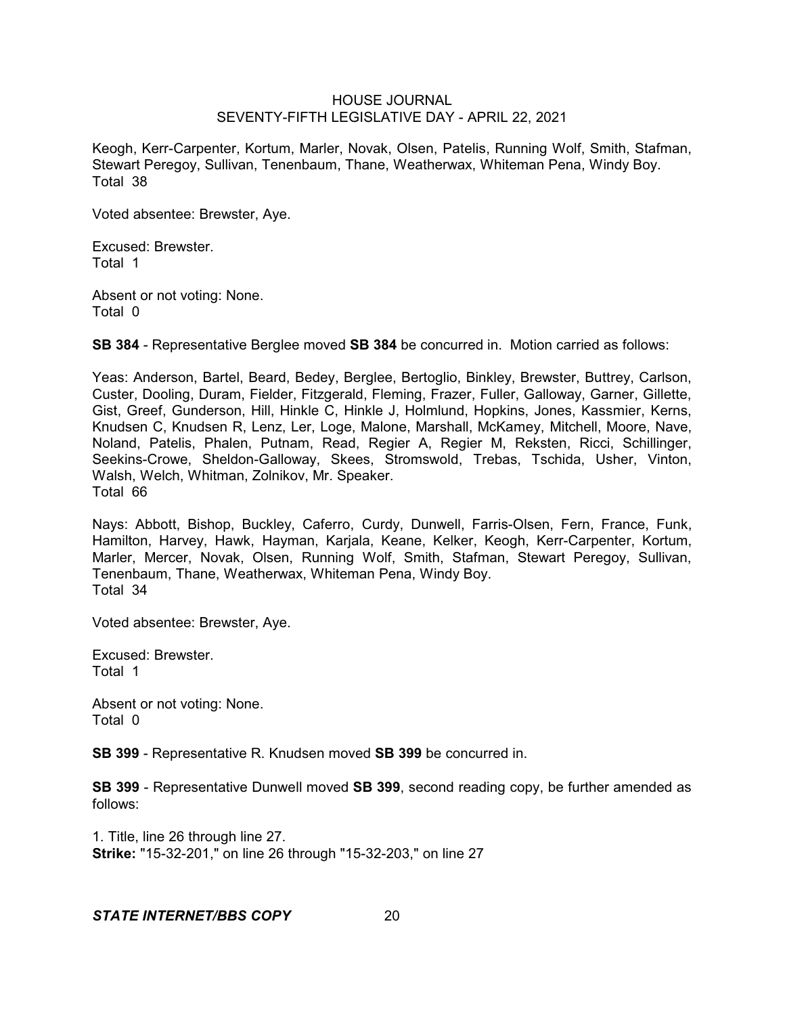Keogh, Kerr-Carpenter, Kortum, Marler, Novak, Olsen, Patelis, Running Wolf, Smith, Stafman, Stewart Peregoy, Sullivan, Tenenbaum, Thane, Weatherwax, Whiteman Pena, Windy Boy. Total 38

Voted absentee: Brewster, Aye.

Excused: Brewster. Total 1

Absent or not voting: None. Total 0

**SB 384** - Representative Berglee moved **SB 384** be concurred in. Motion carried as follows:

Yeas: Anderson, Bartel, Beard, Bedey, Berglee, Bertoglio, Binkley, Brewster, Buttrey, Carlson, Custer, Dooling, Duram, Fielder, Fitzgerald, Fleming, Frazer, Fuller, Galloway, Garner, Gillette, Gist, Greef, Gunderson, Hill, Hinkle C, Hinkle J, Holmlund, Hopkins, Jones, Kassmier, Kerns, Knudsen C, Knudsen R, Lenz, Ler, Loge, Malone, Marshall, McKamey, Mitchell, Moore, Nave, Noland, Patelis, Phalen, Putnam, Read, Regier A, Regier M, Reksten, Ricci, Schillinger, Seekins-Crowe, Sheldon-Galloway, Skees, Stromswold, Trebas, Tschida, Usher, Vinton, Walsh, Welch, Whitman, Zolnikov, Mr. Speaker. Total 66

Nays: Abbott, Bishop, Buckley, Caferro, Curdy, Dunwell, Farris-Olsen, Fern, France, Funk, Hamilton, Harvey, Hawk, Hayman, Karjala, Keane, Kelker, Keogh, Kerr-Carpenter, Kortum, Marler, Mercer, Novak, Olsen, Running Wolf, Smith, Stafman, Stewart Peregoy, Sullivan, Tenenbaum, Thane, Weatherwax, Whiteman Pena, Windy Boy. Total 34

Voted absentee: Brewster, Aye.

Excused: Brewster. Total 1

Absent or not voting: None. Total 0

**SB 399** - Representative R. Knudsen moved **SB 399** be concurred in.

**SB 399** - Representative Dunwell moved **SB 399**, second reading copy, be further amended as follows:

1. Title, line 26 through line 27. **Strike:** "15-32-201," on line 26 through "15-32-203," on line 27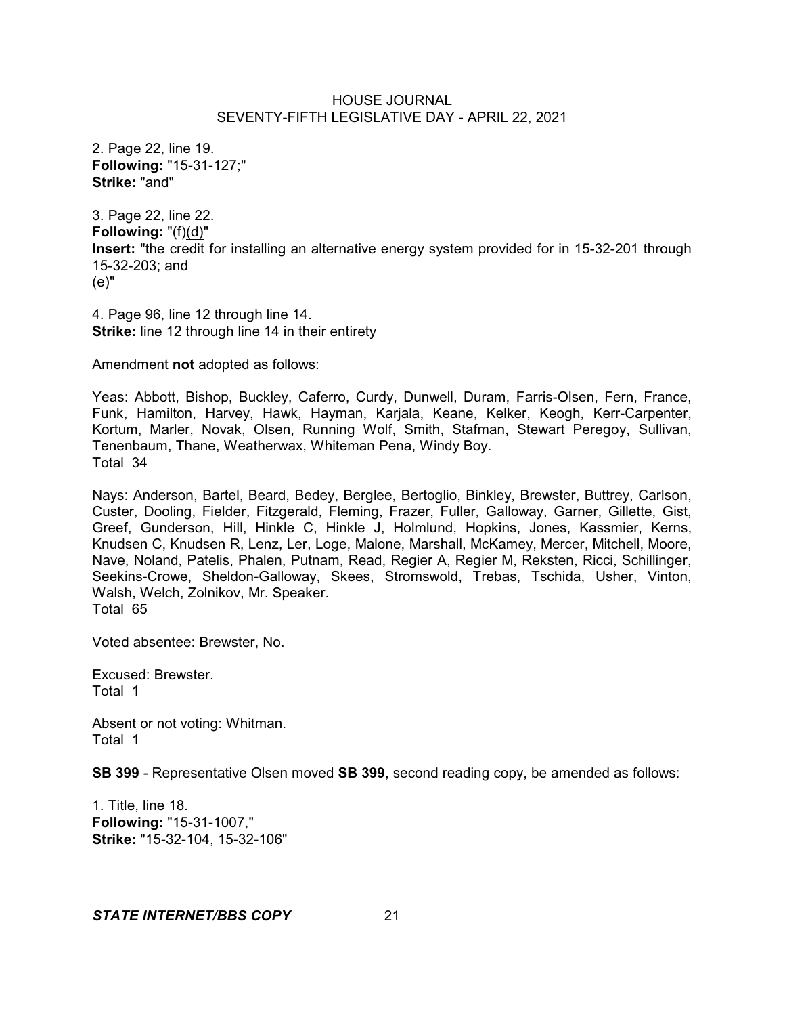2. Page 22, line 19. **Following:** "15-31-127;" **Strike:** "and"

3. Page 22, line 22. **Following:** "(f)(d)" **Insert:** "the credit for installing an alternative energy system provided for in 15-32-201 through 15-32-203; and (e)"

4. Page 96, line 12 through line 14. **Strike:** line 12 through line 14 in their entirety

Amendment **not** adopted as follows:

Yeas: Abbott, Bishop, Buckley, Caferro, Curdy, Dunwell, Duram, Farris-Olsen, Fern, France, Funk, Hamilton, Harvey, Hawk, Hayman, Karjala, Keane, Kelker, Keogh, Kerr-Carpenter, Kortum, Marler, Novak, Olsen, Running Wolf, Smith, Stafman, Stewart Peregoy, Sullivan, Tenenbaum, Thane, Weatherwax, Whiteman Pena, Windy Boy. Total 34

Nays: Anderson, Bartel, Beard, Bedey, Berglee, Bertoglio, Binkley, Brewster, Buttrey, Carlson, Custer, Dooling, Fielder, Fitzgerald, Fleming, Frazer, Fuller, Galloway, Garner, Gillette, Gist, Greef, Gunderson, Hill, Hinkle C, Hinkle J, Holmlund, Hopkins, Jones, Kassmier, Kerns, Knudsen C, Knudsen R, Lenz, Ler, Loge, Malone, Marshall, McKamey, Mercer, Mitchell, Moore, Nave, Noland, Patelis, Phalen, Putnam, Read, Regier A, Regier M, Reksten, Ricci, Schillinger, Seekins-Crowe, Sheldon-Galloway, Skees, Stromswold, Trebas, Tschida, Usher, Vinton, Walsh, Welch, Zolnikov, Mr. Speaker. Total 65

Voted absentee: Brewster, No.

Excused: Brewster. Total 1

Absent or not voting: Whitman. Total 1

**SB 399** - Representative Olsen moved **SB 399**, second reading copy, be amended as follows:

1. Title, line 18. **Following:** "15-31-1007," **Strike:** "15-32-104, 15-32-106"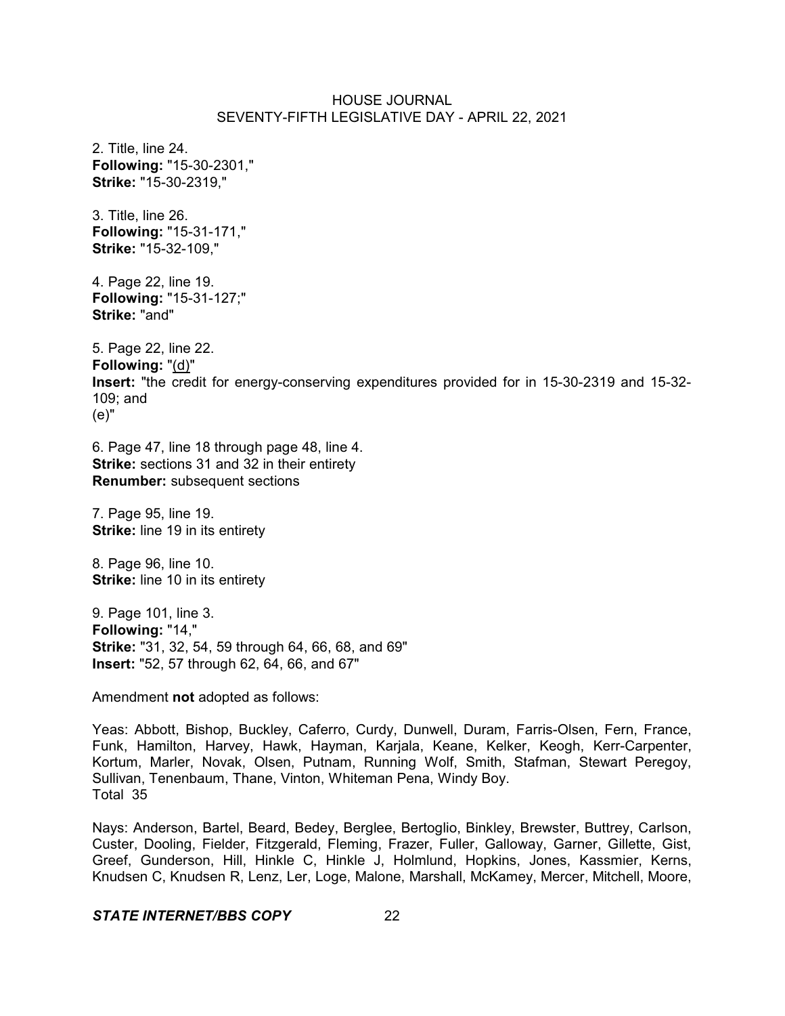2. Title, line 24. **Following:** "15-30-2301," **Strike:** "15-30-2319,"

3. Title, line 26. **Following:** "15-31-171," **Strike:** "15-32-109,"

4. Page 22, line 19. **Following:** "15-31-127;" **Strike:** "and"

5. Page 22, line 22. **Following:** "(d)" **Insert:** "the credit for energy-conserving expenditures provided for in 15-30-2319 and 15-32- 109; and (e)"

6. Page 47, line 18 through page 48, line 4. **Strike:** sections 31 and 32 in their entirety **Renumber:** subsequent sections

7. Page 95, line 19. **Strike:** line 19 in its entirety

8. Page 96, line 10. **Strike:** line 10 in its entirety

9. Page 101, line 3. **Following:** "14," **Strike:** "31, 32, 54, 59 through 64, 66, 68, and 69" **Insert:** "52, 57 through 62, 64, 66, and 67"

Amendment **not** adopted as follows:

Yeas: Abbott, Bishop, Buckley, Caferro, Curdy, Dunwell, Duram, Farris-Olsen, Fern, France, Funk, Hamilton, Harvey, Hawk, Hayman, Karjala, Keane, Kelker, Keogh, Kerr-Carpenter, Kortum, Marler, Novak, Olsen, Putnam, Running Wolf, Smith, Stafman, Stewart Peregoy, Sullivan, Tenenbaum, Thane, Vinton, Whiteman Pena, Windy Boy. Total 35

Nays: Anderson, Bartel, Beard, Bedey, Berglee, Bertoglio, Binkley, Brewster, Buttrey, Carlson, Custer, Dooling, Fielder, Fitzgerald, Fleming, Frazer, Fuller, Galloway, Garner, Gillette, Gist, Greef, Gunderson, Hill, Hinkle C, Hinkle J, Holmlund, Hopkins, Jones, Kassmier, Kerns, Knudsen C, Knudsen R, Lenz, Ler, Loge, Malone, Marshall, McKamey, Mercer, Mitchell, Moore,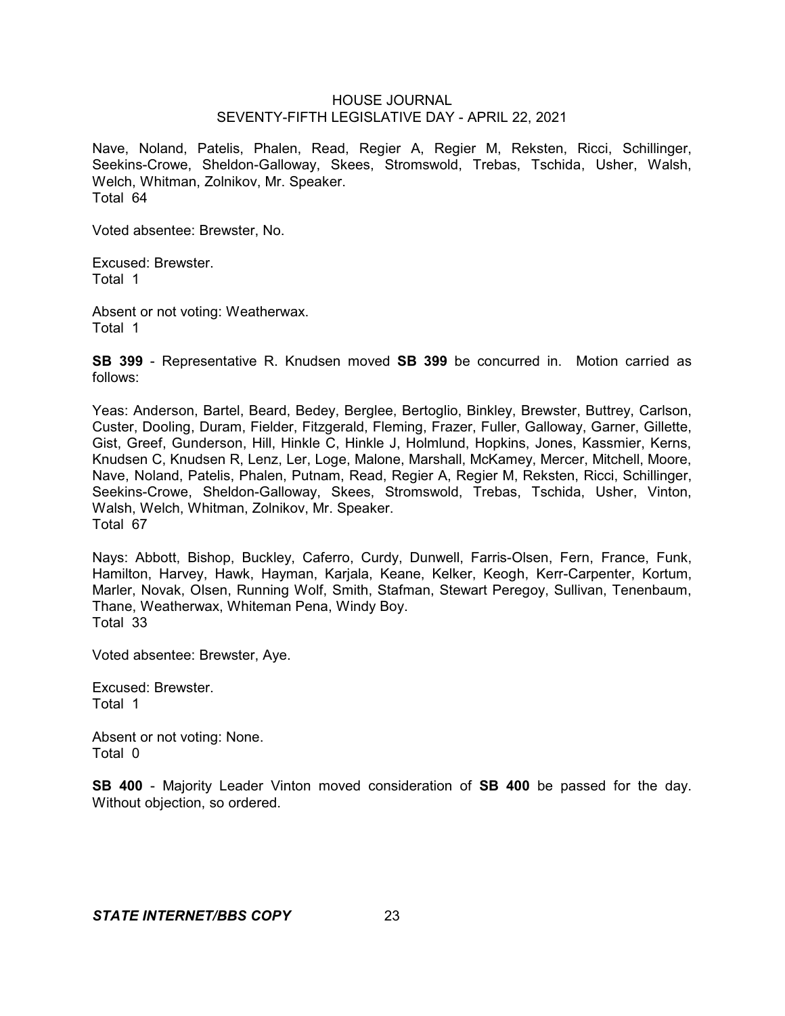Nave, Noland, Patelis, Phalen, Read, Regier A, Regier M, Reksten, Ricci, Schillinger, Seekins-Crowe, Sheldon-Galloway, Skees, Stromswold, Trebas, Tschida, Usher, Walsh, Welch, Whitman, Zolnikov, Mr. Speaker. Total 64

Voted absentee: Brewster, No.

Excused: Brewster. Total 1

Absent or not voting: Weatherwax. Total 1

**SB 399** - Representative R. Knudsen moved **SB 399** be concurred in. Motion carried as follows:

Yeas: Anderson, Bartel, Beard, Bedey, Berglee, Bertoglio, Binkley, Brewster, Buttrey, Carlson, Custer, Dooling, Duram, Fielder, Fitzgerald, Fleming, Frazer, Fuller, Galloway, Garner, Gillette, Gist, Greef, Gunderson, Hill, Hinkle C, Hinkle J, Holmlund, Hopkins, Jones, Kassmier, Kerns, Knudsen C, Knudsen R, Lenz, Ler, Loge, Malone, Marshall, McKamey, Mercer, Mitchell, Moore, Nave, Noland, Patelis, Phalen, Putnam, Read, Regier A, Regier M, Reksten, Ricci, Schillinger, Seekins-Crowe, Sheldon-Galloway, Skees, Stromswold, Trebas, Tschida, Usher, Vinton, Walsh, Welch, Whitman, Zolnikov, Mr. Speaker. Total 67

Nays: Abbott, Bishop, Buckley, Caferro, Curdy, Dunwell, Farris-Olsen, Fern, France, Funk, Hamilton, Harvey, Hawk, Hayman, Karjala, Keane, Kelker, Keogh, Kerr-Carpenter, Kortum, Marler, Novak, Olsen, Running Wolf, Smith, Stafman, Stewart Peregoy, Sullivan, Tenenbaum, Thane, Weatherwax, Whiteman Pena, Windy Boy. Total 33

Voted absentee: Brewster, Aye.

Excused: Brewster. Total 1

Absent or not voting: None. Total 0

**SB 400** - Majority Leader Vinton moved consideration of **SB 400** be passed for the day. Without objection, so ordered.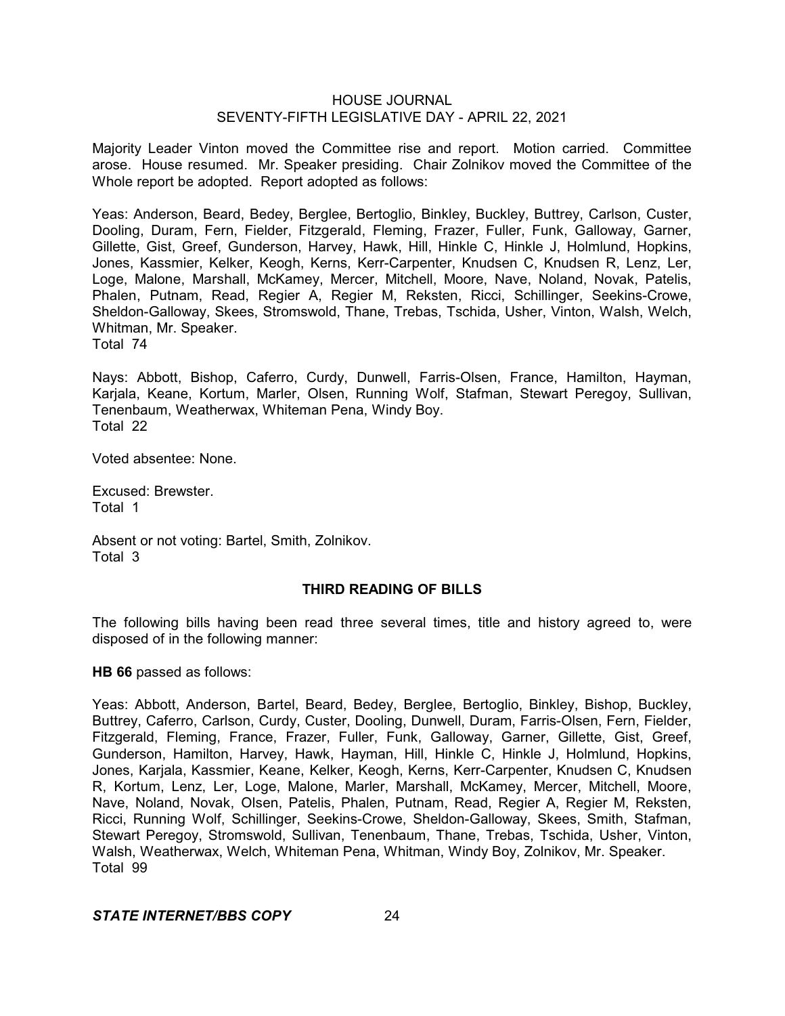Majority Leader Vinton moved the Committee rise and report. Motion carried. Committee arose. House resumed. Mr. Speaker presiding. Chair Zolnikov moved the Committee of the Whole report be adopted. Report adopted as follows:

Yeas: Anderson, Beard, Bedey, Berglee, Bertoglio, Binkley, Buckley, Buttrey, Carlson, Custer, Dooling, Duram, Fern, Fielder, Fitzgerald, Fleming, Frazer, Fuller, Funk, Galloway, Garner, Gillette, Gist, Greef, Gunderson, Harvey, Hawk, Hill, Hinkle C, Hinkle J, Holmlund, Hopkins, Jones, Kassmier, Kelker, Keogh, Kerns, Kerr-Carpenter, Knudsen C, Knudsen R, Lenz, Ler, Loge, Malone, Marshall, McKamey, Mercer, Mitchell, Moore, Nave, Noland, Novak, Patelis, Phalen, Putnam, Read, Regier A, Regier M, Reksten, Ricci, Schillinger, Seekins-Crowe, Sheldon-Galloway, Skees, Stromswold, Thane, Trebas, Tschida, Usher, Vinton, Walsh, Welch, Whitman, Mr. Speaker.

Total 74

Nays: Abbott, Bishop, Caferro, Curdy, Dunwell, Farris-Olsen, France, Hamilton, Hayman, Karjala, Keane, Kortum, Marler, Olsen, Running Wolf, Stafman, Stewart Peregoy, Sullivan, Tenenbaum, Weatherwax, Whiteman Pena, Windy Boy. Total 22

Voted absentee: None.

Excused: Brewster. Total 1

Absent or not voting: Bartel, Smith, Zolnikov. Total 3

## **THIRD READING OF BILLS**

The following bills having been read three several times, title and history agreed to, were disposed of in the following manner:

**HB 66** passed as follows:

Yeas: Abbott, Anderson, Bartel, Beard, Bedey, Berglee, Bertoglio, Binkley, Bishop, Buckley, Buttrey, Caferro, Carlson, Curdy, Custer, Dooling, Dunwell, Duram, Farris-Olsen, Fern, Fielder, Fitzgerald, Fleming, France, Frazer, Fuller, Funk, Galloway, Garner, Gillette, Gist, Greef, Gunderson, Hamilton, Harvey, Hawk, Hayman, Hill, Hinkle C, Hinkle J, Holmlund, Hopkins, Jones, Karjala, Kassmier, Keane, Kelker, Keogh, Kerns, Kerr-Carpenter, Knudsen C, Knudsen R, Kortum, Lenz, Ler, Loge, Malone, Marler, Marshall, McKamey, Mercer, Mitchell, Moore, Nave, Noland, Novak, Olsen, Patelis, Phalen, Putnam, Read, Regier A, Regier M, Reksten, Ricci, Running Wolf, Schillinger, Seekins-Crowe, Sheldon-Galloway, Skees, Smith, Stafman, Stewart Peregoy, Stromswold, Sullivan, Tenenbaum, Thane, Trebas, Tschida, Usher, Vinton, Walsh, Weatherwax, Welch, Whiteman Pena, Whitman, Windy Boy, Zolnikov, Mr. Speaker. Total 99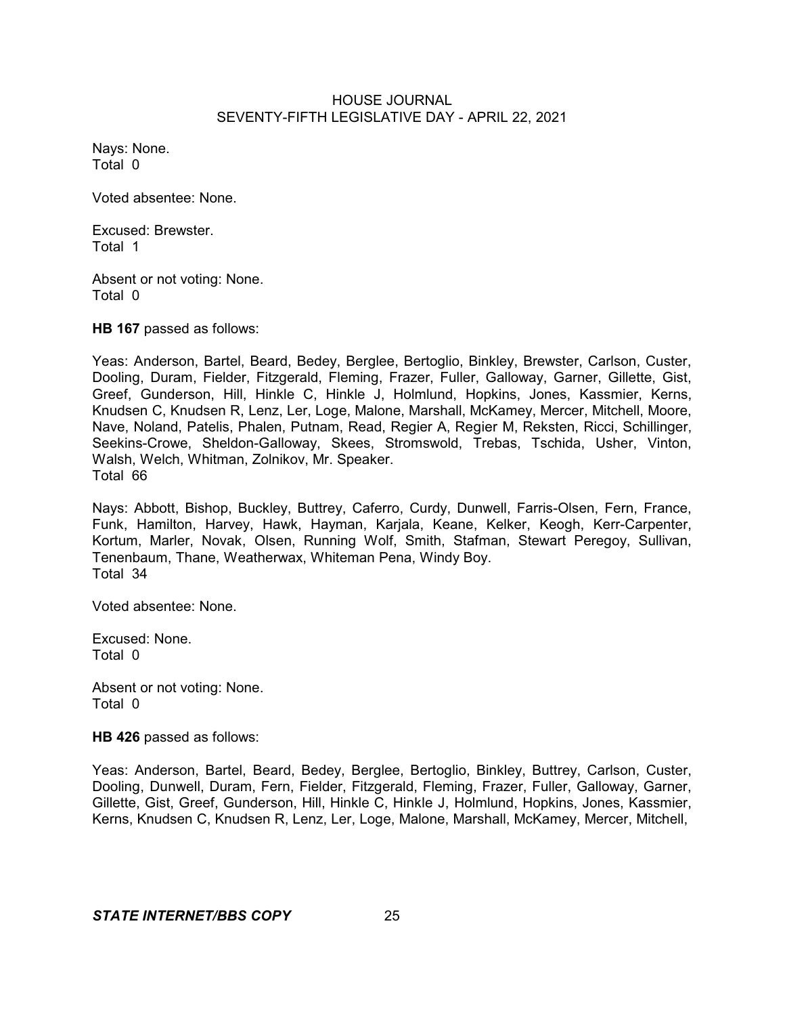Nays: None. Total 0

Voted absentee: None.

Excused: Brewster. Total 1

Absent or not voting: None. Total 0

**HB 167** passed as follows:

Yeas: Anderson, Bartel, Beard, Bedey, Berglee, Bertoglio, Binkley, Brewster, Carlson, Custer, Dooling, Duram, Fielder, Fitzgerald, Fleming, Frazer, Fuller, Galloway, Garner, Gillette, Gist, Greef, Gunderson, Hill, Hinkle C, Hinkle J, Holmlund, Hopkins, Jones, Kassmier, Kerns, Knudsen C, Knudsen R, Lenz, Ler, Loge, Malone, Marshall, McKamey, Mercer, Mitchell, Moore, Nave, Noland, Patelis, Phalen, Putnam, Read, Regier A, Regier M, Reksten, Ricci, Schillinger, Seekins-Crowe, Sheldon-Galloway, Skees, Stromswold, Trebas, Tschida, Usher, Vinton, Walsh, Welch, Whitman, Zolnikov, Mr. Speaker. Total 66

Nays: Abbott, Bishop, Buckley, Buttrey, Caferro, Curdy, Dunwell, Farris-Olsen, Fern, France, Funk, Hamilton, Harvey, Hawk, Hayman, Karjala, Keane, Kelker, Keogh, Kerr-Carpenter, Kortum, Marler, Novak, Olsen, Running Wolf, Smith, Stafman, Stewart Peregoy, Sullivan, Tenenbaum, Thane, Weatherwax, Whiteman Pena, Windy Boy. Total 34

Voted absentee: None.

Excused: None. Total 0

Absent or not voting: None. Total 0

**HB 426** passed as follows:

Yeas: Anderson, Bartel, Beard, Bedey, Berglee, Bertoglio, Binkley, Buttrey, Carlson, Custer, Dooling, Dunwell, Duram, Fern, Fielder, Fitzgerald, Fleming, Frazer, Fuller, Galloway, Garner, Gillette, Gist, Greef, Gunderson, Hill, Hinkle C, Hinkle J, Holmlund, Hopkins, Jones, Kassmier, Kerns, Knudsen C, Knudsen R, Lenz, Ler, Loge, Malone, Marshall, McKamey, Mercer, Mitchell,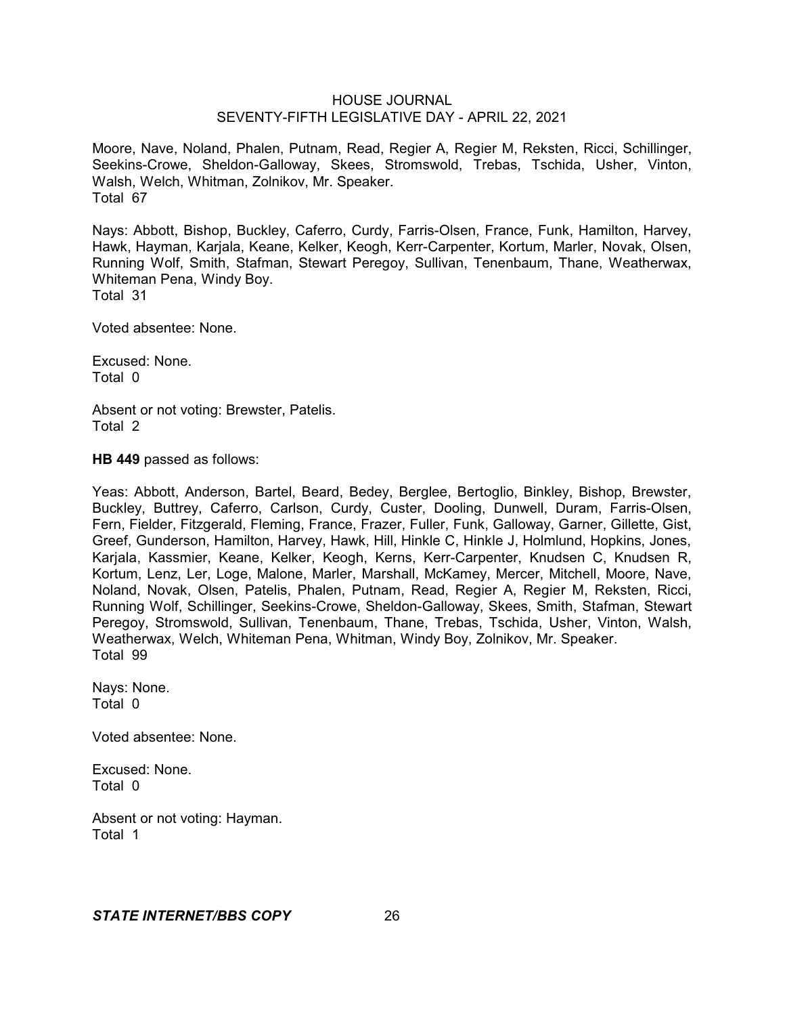Moore, Nave, Noland, Phalen, Putnam, Read, Regier A, Regier M, Reksten, Ricci, Schillinger, Seekins-Crowe, Sheldon-Galloway, Skees, Stromswold, Trebas, Tschida, Usher, Vinton, Walsh, Welch, Whitman, Zolnikov, Mr. Speaker. Total 67

Nays: Abbott, Bishop, Buckley, Caferro, Curdy, Farris-Olsen, France, Funk, Hamilton, Harvey, Hawk, Hayman, Karjala, Keane, Kelker, Keogh, Kerr-Carpenter, Kortum, Marler, Novak, Olsen, Running Wolf, Smith, Stafman, Stewart Peregoy, Sullivan, Tenenbaum, Thane, Weatherwax, Whiteman Pena, Windy Boy. Total 31

Voted absentee: None.

Excused: None. Total 0

Absent or not voting: Brewster, Patelis. Total 2

**HB 449** passed as follows:

Yeas: Abbott, Anderson, Bartel, Beard, Bedey, Berglee, Bertoglio, Binkley, Bishop, Brewster, Buckley, Buttrey, Caferro, Carlson, Curdy, Custer, Dooling, Dunwell, Duram, Farris-Olsen, Fern, Fielder, Fitzgerald, Fleming, France, Frazer, Fuller, Funk, Galloway, Garner, Gillette, Gist, Greef, Gunderson, Hamilton, Harvey, Hawk, Hill, Hinkle C, Hinkle J, Holmlund, Hopkins, Jones, Karjala, Kassmier, Keane, Kelker, Keogh, Kerns, Kerr-Carpenter, Knudsen C, Knudsen R, Kortum, Lenz, Ler, Loge, Malone, Marler, Marshall, McKamey, Mercer, Mitchell, Moore, Nave, Noland, Novak, Olsen, Patelis, Phalen, Putnam, Read, Regier A, Regier M, Reksten, Ricci, Running Wolf, Schillinger, Seekins-Crowe, Sheldon-Galloway, Skees, Smith, Stafman, Stewart Peregoy, Stromswold, Sullivan, Tenenbaum, Thane, Trebas, Tschida, Usher, Vinton, Walsh, Weatherwax, Welch, Whiteman Pena, Whitman, Windy Boy, Zolnikov, Mr. Speaker. Total 99

Nays: None. Total 0

Voted absentee: None.

Excused: None. Total 0

Absent or not voting: Hayman. Total 1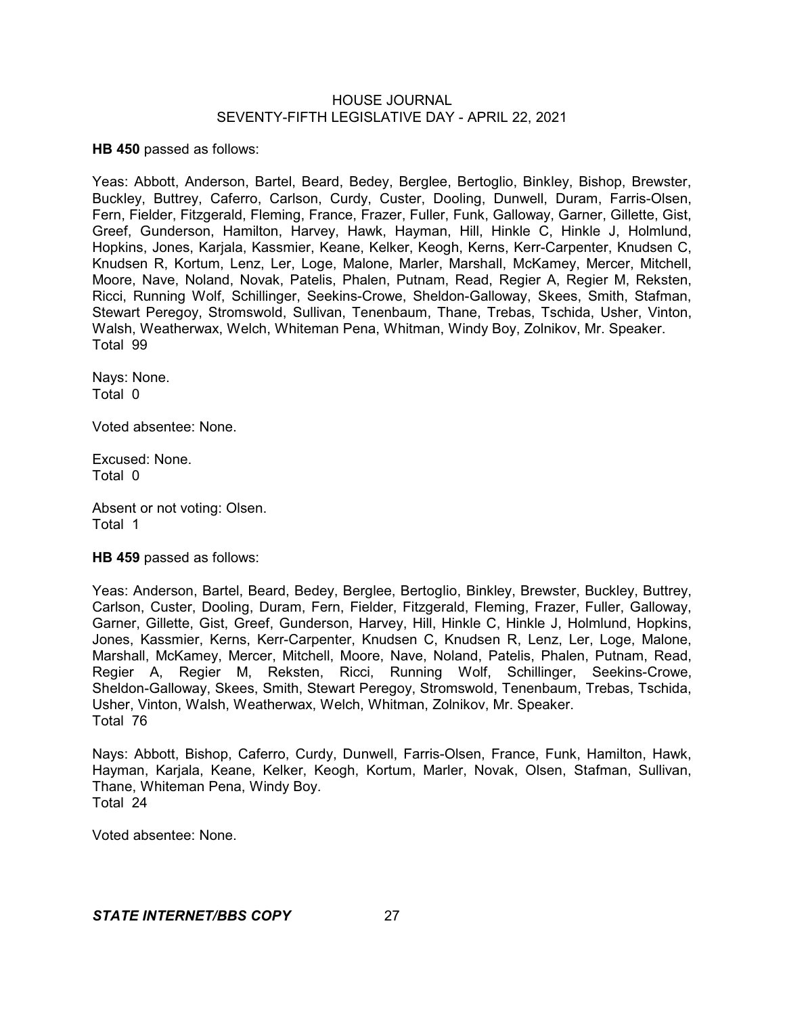**HB 450** passed as follows:

Yeas: Abbott, Anderson, Bartel, Beard, Bedey, Berglee, Bertoglio, Binkley, Bishop, Brewster, Buckley, Buttrey, Caferro, Carlson, Curdy, Custer, Dooling, Dunwell, Duram, Farris-Olsen, Fern, Fielder, Fitzgerald, Fleming, France, Frazer, Fuller, Funk, Galloway, Garner, Gillette, Gist, Greef, Gunderson, Hamilton, Harvey, Hawk, Hayman, Hill, Hinkle C, Hinkle J, Holmlund, Hopkins, Jones, Karjala, Kassmier, Keane, Kelker, Keogh, Kerns, Kerr-Carpenter, Knudsen C, Knudsen R, Kortum, Lenz, Ler, Loge, Malone, Marler, Marshall, McKamey, Mercer, Mitchell, Moore, Nave, Noland, Novak, Patelis, Phalen, Putnam, Read, Regier A, Regier M, Reksten, Ricci, Running Wolf, Schillinger, Seekins-Crowe, Sheldon-Galloway, Skees, Smith, Stafman, Stewart Peregoy, Stromswold, Sullivan, Tenenbaum, Thane, Trebas, Tschida, Usher, Vinton, Walsh, Weatherwax, Welch, Whiteman Pena, Whitman, Windy Boy, Zolnikov, Mr. Speaker. Total 99

Nays: None. Total 0

Voted absentee: None.

Excused: None. Total 0

Absent or not voting: Olsen. Total 1

**HB 459** passed as follows:

Yeas: Anderson, Bartel, Beard, Bedey, Berglee, Bertoglio, Binkley, Brewster, Buckley, Buttrey, Carlson, Custer, Dooling, Duram, Fern, Fielder, Fitzgerald, Fleming, Frazer, Fuller, Galloway, Garner, Gillette, Gist, Greef, Gunderson, Harvey, Hill, Hinkle C, Hinkle J, Holmlund, Hopkins, Jones, Kassmier, Kerns, Kerr-Carpenter, Knudsen C, Knudsen R, Lenz, Ler, Loge, Malone, Marshall, McKamey, Mercer, Mitchell, Moore, Nave, Noland, Patelis, Phalen, Putnam, Read, Regier A, Regier M, Reksten, Ricci, Running Wolf, Schillinger, Seekins-Crowe, Sheldon-Galloway, Skees, Smith, Stewart Peregoy, Stromswold, Tenenbaum, Trebas, Tschida, Usher, Vinton, Walsh, Weatherwax, Welch, Whitman, Zolnikov, Mr. Speaker. Total 76

Nays: Abbott, Bishop, Caferro, Curdy, Dunwell, Farris-Olsen, France, Funk, Hamilton, Hawk, Hayman, Karjala, Keane, Kelker, Keogh, Kortum, Marler, Novak, Olsen, Stafman, Sullivan, Thane, Whiteman Pena, Windy Boy. Total 24

Voted absentee: None.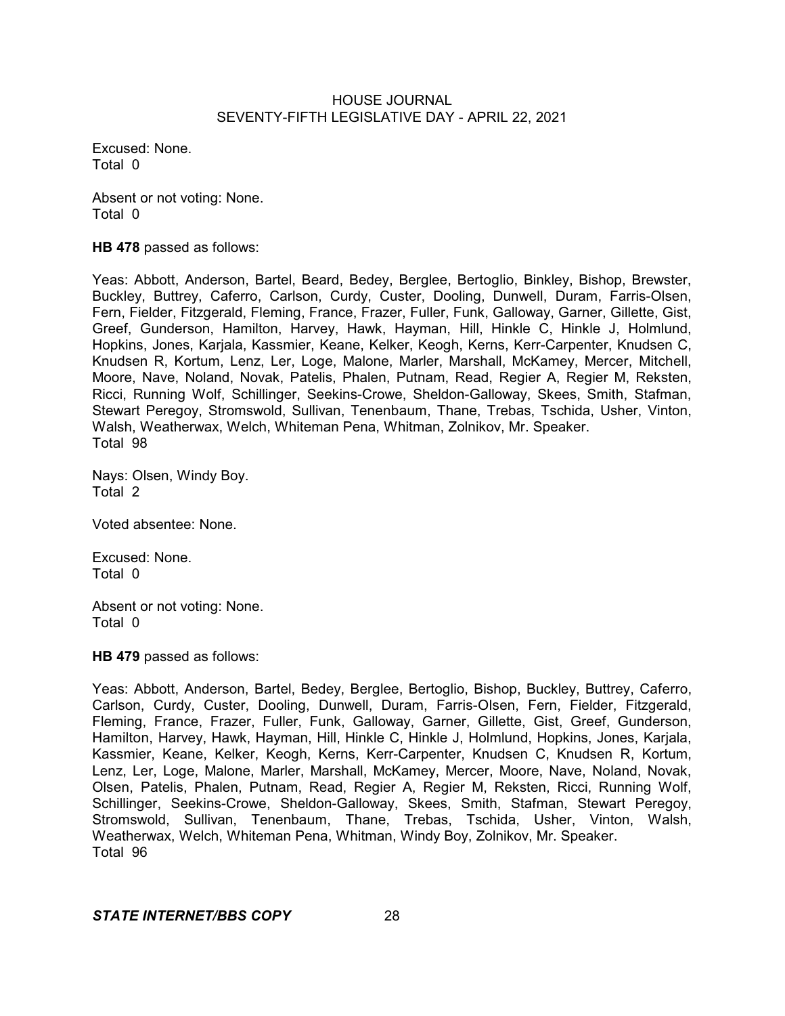Excused: None. Total 0

Absent or not voting: None. Total 0

**HB 478** passed as follows:

Yeas: Abbott, Anderson, Bartel, Beard, Bedey, Berglee, Bertoglio, Binkley, Bishop, Brewster, Buckley, Buttrey, Caferro, Carlson, Curdy, Custer, Dooling, Dunwell, Duram, Farris-Olsen, Fern, Fielder, Fitzgerald, Fleming, France, Frazer, Fuller, Funk, Galloway, Garner, Gillette, Gist, Greef, Gunderson, Hamilton, Harvey, Hawk, Hayman, Hill, Hinkle C, Hinkle J, Holmlund, Hopkins, Jones, Karjala, Kassmier, Keane, Kelker, Keogh, Kerns, Kerr-Carpenter, Knudsen C, Knudsen R, Kortum, Lenz, Ler, Loge, Malone, Marler, Marshall, McKamey, Mercer, Mitchell, Moore, Nave, Noland, Novak, Patelis, Phalen, Putnam, Read, Regier A, Regier M, Reksten, Ricci, Running Wolf, Schillinger, Seekins-Crowe, Sheldon-Galloway, Skees, Smith, Stafman, Stewart Peregoy, Stromswold, Sullivan, Tenenbaum, Thane, Trebas, Tschida, Usher, Vinton, Walsh, Weatherwax, Welch, Whiteman Pena, Whitman, Zolnikov, Mr. Speaker. Total 98

Nays: Olsen, Windy Boy. Total 2

Voted absentee: None.

Excused: None. Total 0

Absent or not voting: None. Total 0

**HB 479** passed as follows:

Yeas: Abbott, Anderson, Bartel, Bedey, Berglee, Bertoglio, Bishop, Buckley, Buttrey, Caferro, Carlson, Curdy, Custer, Dooling, Dunwell, Duram, Farris-Olsen, Fern, Fielder, Fitzgerald, Fleming, France, Frazer, Fuller, Funk, Galloway, Garner, Gillette, Gist, Greef, Gunderson, Hamilton, Harvey, Hawk, Hayman, Hill, Hinkle C, Hinkle J, Holmlund, Hopkins, Jones, Karjala, Kassmier, Keane, Kelker, Keogh, Kerns, Kerr-Carpenter, Knudsen C, Knudsen R, Kortum, Lenz, Ler, Loge, Malone, Marler, Marshall, McKamey, Mercer, Moore, Nave, Noland, Novak, Olsen, Patelis, Phalen, Putnam, Read, Regier A, Regier M, Reksten, Ricci, Running Wolf, Schillinger, Seekins-Crowe, Sheldon-Galloway, Skees, Smith, Stafman, Stewart Peregoy, Stromswold, Sullivan, Tenenbaum, Thane, Trebas, Tschida, Usher, Vinton, Walsh, Weatherwax, Welch, Whiteman Pena, Whitman, Windy Boy, Zolnikov, Mr. Speaker. Total 96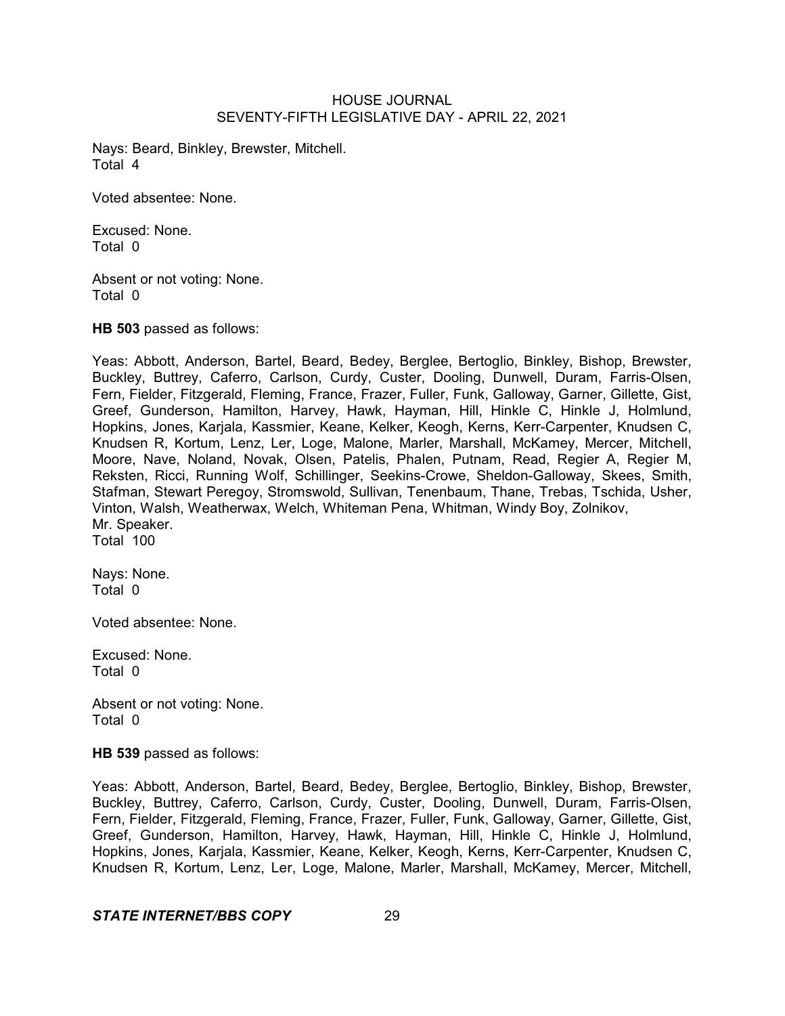Nays: Beard, Binkley, Brewster, Mitchell. Total 4

Voted absentee: None.

Excused: None. Total 0

Absent or not voting: None. Total 0

**HB 503** passed as follows:

Yeas: Abbott, Anderson, Bartel, Beard, Bedey, Berglee, Bertoglio, Binkley, Bishop, Brewster, Buckley, Buttrey, Caferro, Carlson, Curdy, Custer, Dooling, Dunwell, Duram, Farris-Olsen, Fern, Fielder, Fitzgerald, Fleming, France, Frazer, Fuller, Funk, Galloway, Garner, Gillette, Gist, Greef, Gunderson, Hamilton, Harvey, Hawk, Hayman, Hill, Hinkle C, Hinkle J, Holmlund, Hopkins, Jones, Karjala, Kassmier, Keane, Kelker, Keogh, Kerns, Kerr-Carpenter, Knudsen C, Knudsen R, Kortum, Lenz, Ler, Loge, Malone, Marler, Marshall, McKamey, Mercer, Mitchell, Moore, Nave, Noland, Novak, Olsen, Patelis, Phalen, Putnam, Read, Regier A, Regier M, Reksten, Ricci, Running Wolf, Schillinger, Seekins-Crowe, Sheldon-Galloway, Skees, Smith, Stafman, Stewart Peregoy, Stromswold, Sullivan, Tenenbaum, Thane, Trebas, Tschida, Usher, Vinton, Walsh, Weatherwax, Welch, Whiteman Pena, Whitman, Windy Boy, Zolnikov, Mr. Speaker. Total 100

Nays: None. Total 0

Voted absentee: None.

Excused: None. Total 0

Absent or not voting: None. Total 0

**HB 539** passed as follows:

Yeas: Abbott, Anderson, Bartel, Beard, Bedey, Berglee, Bertoglio, Binkley, Bishop, Brewster, Buckley, Buttrey, Caferro, Carlson, Curdy, Custer, Dooling, Dunwell, Duram, Farris-Olsen, Fern, Fielder, Fitzgerald, Fleming, France, Frazer, Fuller, Funk, Galloway, Garner, Gillette, Gist, Greef, Gunderson, Hamilton, Harvey, Hawk, Hayman, Hill, Hinkle C, Hinkle J, Holmlund, Hopkins, Jones, Karjala, Kassmier, Keane, Kelker, Keogh, Kerns, Kerr-Carpenter, Knudsen C, Knudsen R, Kortum, Lenz, Ler, Loge, Malone, Marler, Marshall, McKamey, Mercer, Mitchell,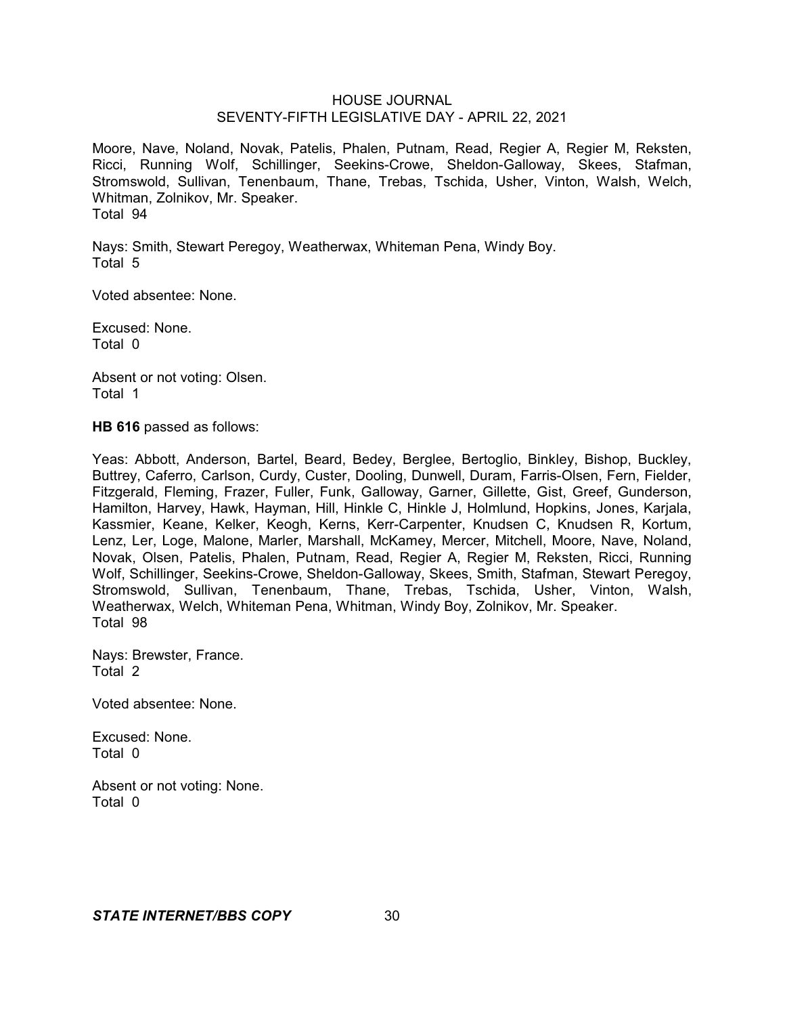Moore, Nave, Noland, Novak, Patelis, Phalen, Putnam, Read, Regier A, Regier M, Reksten, Ricci, Running Wolf, Schillinger, Seekins-Crowe, Sheldon-Galloway, Skees, Stafman, Stromswold, Sullivan, Tenenbaum, Thane, Trebas, Tschida, Usher, Vinton, Walsh, Welch, Whitman, Zolnikov, Mr. Speaker. Total 94

Nays: Smith, Stewart Peregoy, Weatherwax, Whiteman Pena, Windy Boy. Total 5

Voted absentee: None.

Excused: None. Total 0

Absent or not voting: Olsen. Total 1

**HB 616** passed as follows:

Yeas: Abbott, Anderson, Bartel, Beard, Bedey, Berglee, Bertoglio, Binkley, Bishop, Buckley, Buttrey, Caferro, Carlson, Curdy, Custer, Dooling, Dunwell, Duram, Farris-Olsen, Fern, Fielder, Fitzgerald, Fleming, Frazer, Fuller, Funk, Galloway, Garner, Gillette, Gist, Greef, Gunderson, Hamilton, Harvey, Hawk, Hayman, Hill, Hinkle C, Hinkle J, Holmlund, Hopkins, Jones, Karjala, Kassmier, Keane, Kelker, Keogh, Kerns, Kerr-Carpenter, Knudsen C, Knudsen R, Kortum, Lenz, Ler, Loge, Malone, Marler, Marshall, McKamey, Mercer, Mitchell, Moore, Nave, Noland, Novak, Olsen, Patelis, Phalen, Putnam, Read, Regier A, Regier M, Reksten, Ricci, Running Wolf, Schillinger, Seekins-Crowe, Sheldon-Galloway, Skees, Smith, Stafman, Stewart Peregoy, Stromswold, Sullivan, Tenenbaum, Thane, Trebas, Tschida, Usher, Vinton, Walsh, Weatherwax, Welch, Whiteman Pena, Whitman, Windy Boy, Zolnikov, Mr. Speaker. Total 98

Nays: Brewster, France. Total 2

Voted absentee: None.

Excused: None. Total 0

Absent or not voting: None. Total 0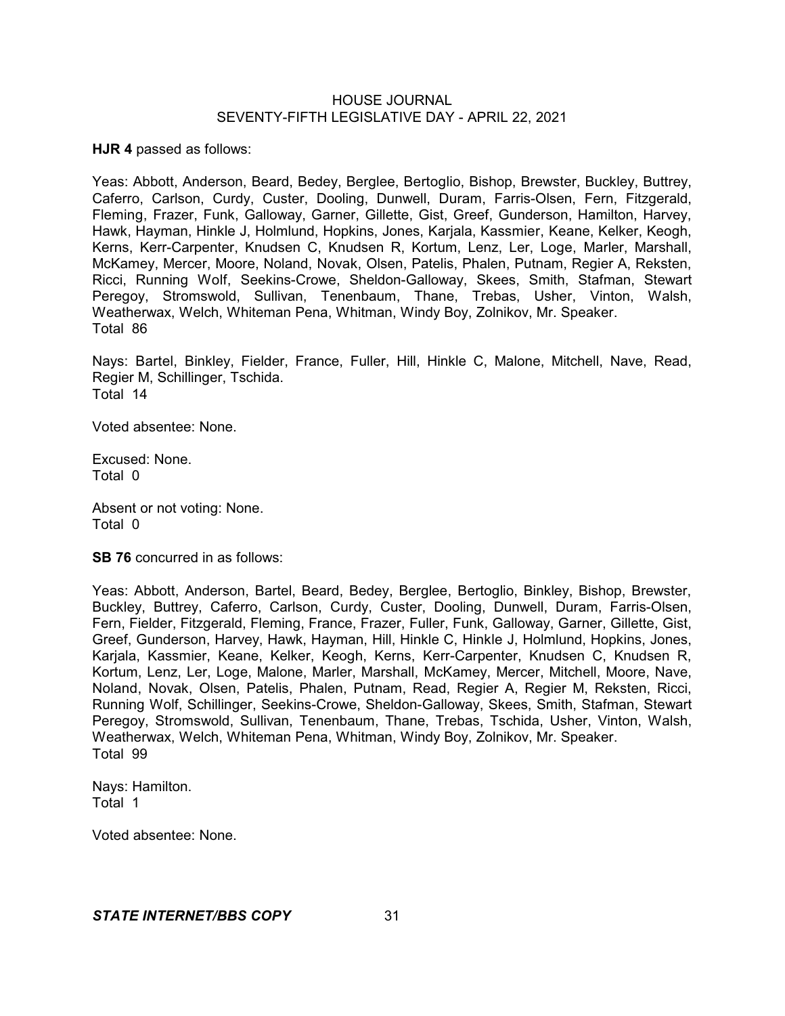**HJR 4** passed as follows:

Yeas: Abbott, Anderson, Beard, Bedey, Berglee, Bertoglio, Bishop, Brewster, Buckley, Buttrey, Caferro, Carlson, Curdy, Custer, Dooling, Dunwell, Duram, Farris-Olsen, Fern, Fitzgerald, Fleming, Frazer, Funk, Galloway, Garner, Gillette, Gist, Greef, Gunderson, Hamilton, Harvey, Hawk, Hayman, Hinkle J, Holmlund, Hopkins, Jones, Karjala, Kassmier, Keane, Kelker, Keogh, Kerns, Kerr-Carpenter, Knudsen C, Knudsen R, Kortum, Lenz, Ler, Loge, Marler, Marshall, McKamey, Mercer, Moore, Noland, Novak, Olsen, Patelis, Phalen, Putnam, Regier A, Reksten, Ricci, Running Wolf, Seekins-Crowe, Sheldon-Galloway, Skees, Smith, Stafman, Stewart Peregoy, Stromswold, Sullivan, Tenenbaum, Thane, Trebas, Usher, Vinton, Walsh, Weatherwax, Welch, Whiteman Pena, Whitman, Windy Boy, Zolnikov, Mr. Speaker. Total 86

Nays: Bartel, Binkley, Fielder, France, Fuller, Hill, Hinkle C, Malone, Mitchell, Nave, Read, Regier M, Schillinger, Tschida. Total 14

Voted absentee: None.

Excused: None. Total 0

Absent or not voting: None. Total 0

**SB 76** concurred in as follows:

Yeas: Abbott, Anderson, Bartel, Beard, Bedey, Berglee, Bertoglio, Binkley, Bishop, Brewster, Buckley, Buttrey, Caferro, Carlson, Curdy, Custer, Dooling, Dunwell, Duram, Farris-Olsen, Fern, Fielder, Fitzgerald, Fleming, France, Frazer, Fuller, Funk, Galloway, Garner, Gillette, Gist, Greef, Gunderson, Harvey, Hawk, Hayman, Hill, Hinkle C, Hinkle J, Holmlund, Hopkins, Jones, Karjala, Kassmier, Keane, Kelker, Keogh, Kerns, Kerr-Carpenter, Knudsen C, Knudsen R, Kortum, Lenz, Ler, Loge, Malone, Marler, Marshall, McKamey, Mercer, Mitchell, Moore, Nave, Noland, Novak, Olsen, Patelis, Phalen, Putnam, Read, Regier A, Regier M, Reksten, Ricci, Running Wolf, Schillinger, Seekins-Crowe, Sheldon-Galloway, Skees, Smith, Stafman, Stewart Peregoy, Stromswold, Sullivan, Tenenbaum, Thane, Trebas, Tschida, Usher, Vinton, Walsh, Weatherwax, Welch, Whiteman Pena, Whitman, Windy Boy, Zolnikov, Mr. Speaker. Total 99

Nays: Hamilton. Total 1

Voted absentee: None.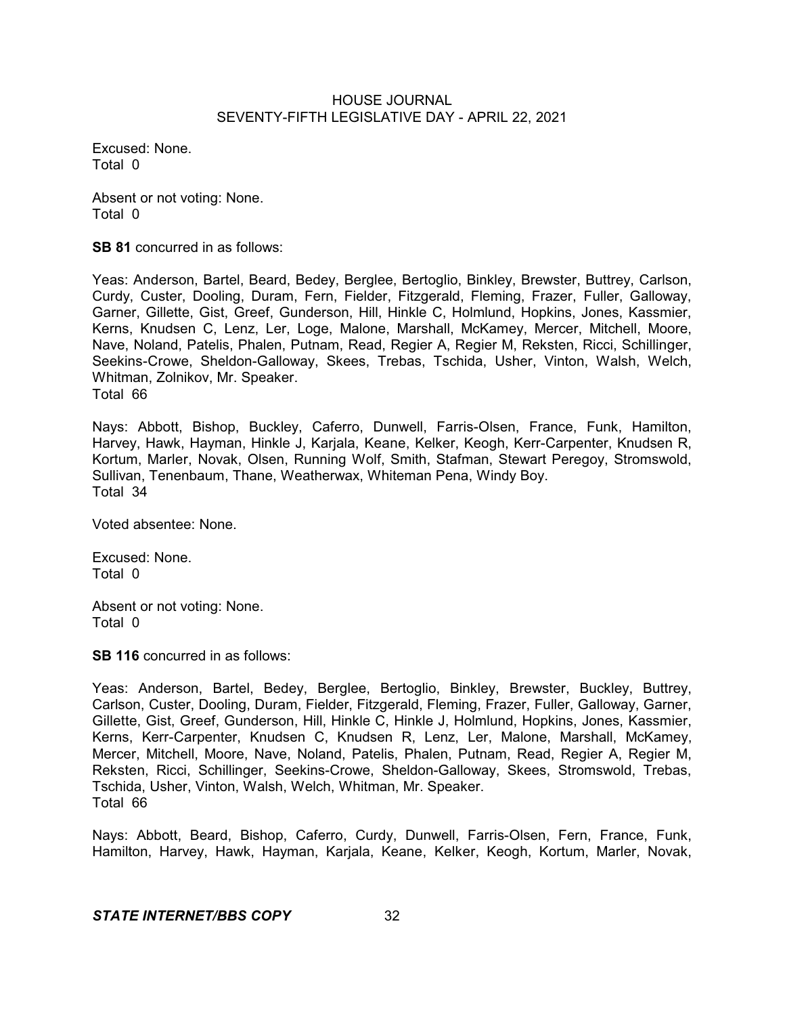Excused: None. Total 0

Absent or not voting: None. Total 0

**SB 81** concurred in as follows:

Yeas: Anderson, Bartel, Beard, Bedey, Berglee, Bertoglio, Binkley, Brewster, Buttrey, Carlson, Curdy, Custer, Dooling, Duram, Fern, Fielder, Fitzgerald, Fleming, Frazer, Fuller, Galloway, Garner, Gillette, Gist, Greef, Gunderson, Hill, Hinkle C, Holmlund, Hopkins, Jones, Kassmier, Kerns, Knudsen C, Lenz, Ler, Loge, Malone, Marshall, McKamey, Mercer, Mitchell, Moore, Nave, Noland, Patelis, Phalen, Putnam, Read, Regier A, Regier M, Reksten, Ricci, Schillinger, Seekins-Crowe, Sheldon-Galloway, Skees, Trebas, Tschida, Usher, Vinton, Walsh, Welch, Whitman, Zolnikov, Mr. Speaker. Total 66

Nays: Abbott, Bishop, Buckley, Caferro, Dunwell, Farris-Olsen, France, Funk, Hamilton, Harvey, Hawk, Hayman, Hinkle J, Karjala, Keane, Kelker, Keogh, Kerr-Carpenter, Knudsen R, Kortum, Marler, Novak, Olsen, Running Wolf, Smith, Stafman, Stewart Peregoy, Stromswold, Sullivan, Tenenbaum, Thane, Weatherwax, Whiteman Pena, Windy Boy. Total 34

Voted absentee: None.

Excused: None. Total 0

Absent or not voting: None. Total 0

**SB 116** concurred in as follows:

Yeas: Anderson, Bartel, Bedey, Berglee, Bertoglio, Binkley, Brewster, Buckley, Buttrey, Carlson, Custer, Dooling, Duram, Fielder, Fitzgerald, Fleming, Frazer, Fuller, Galloway, Garner, Gillette, Gist, Greef, Gunderson, Hill, Hinkle C, Hinkle J, Holmlund, Hopkins, Jones, Kassmier, Kerns, Kerr-Carpenter, Knudsen C, Knudsen R, Lenz, Ler, Malone, Marshall, McKamey, Mercer, Mitchell, Moore, Nave, Noland, Patelis, Phalen, Putnam, Read, Regier A, Regier M, Reksten, Ricci, Schillinger, Seekins-Crowe, Sheldon-Galloway, Skees, Stromswold, Trebas, Tschida, Usher, Vinton, Walsh, Welch, Whitman, Mr. Speaker. Total 66

Nays: Abbott, Beard, Bishop, Caferro, Curdy, Dunwell, Farris-Olsen, Fern, France, Funk, Hamilton, Harvey, Hawk, Hayman, Karjala, Keane, Kelker, Keogh, Kortum, Marler, Novak,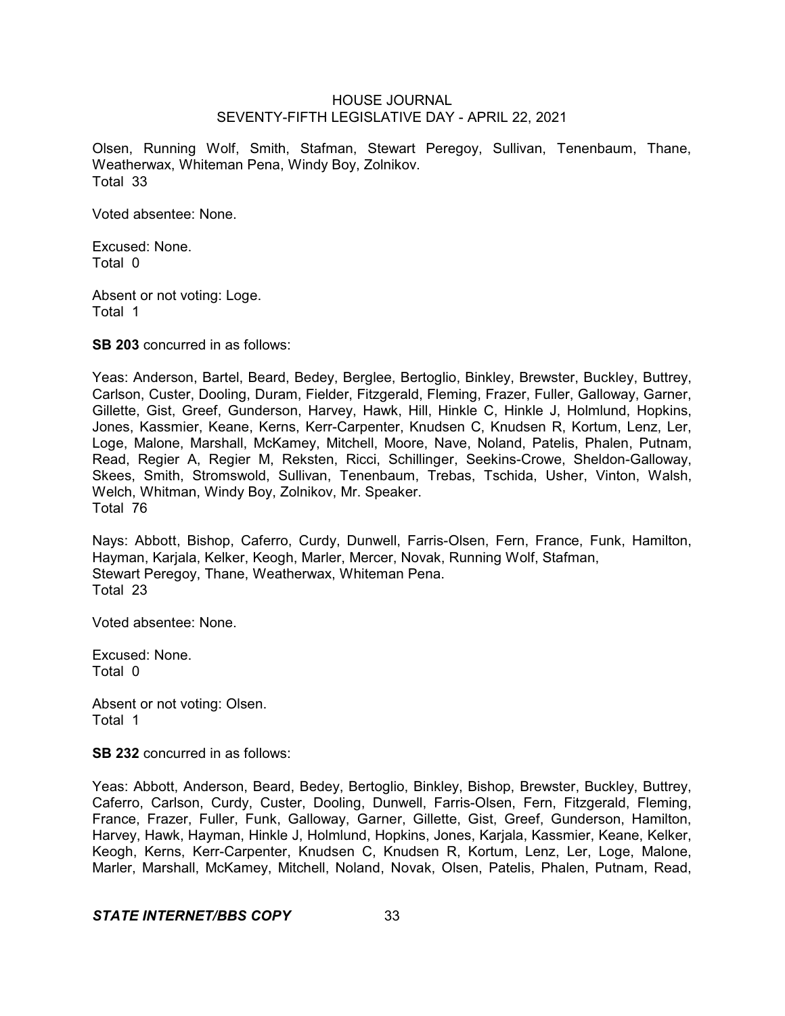Olsen, Running Wolf, Smith, Stafman, Stewart Peregoy, Sullivan, Tenenbaum, Thane, Weatherwax, Whiteman Pena, Windy Boy, Zolnikov. Total 33

Voted absentee: None.

Excused: None. Total 0

Absent or not voting: Loge. Total 1

**SB 203** concurred in as follows:

Yeas: Anderson, Bartel, Beard, Bedey, Berglee, Bertoglio, Binkley, Brewster, Buckley, Buttrey, Carlson, Custer, Dooling, Duram, Fielder, Fitzgerald, Fleming, Frazer, Fuller, Galloway, Garner, Gillette, Gist, Greef, Gunderson, Harvey, Hawk, Hill, Hinkle C, Hinkle J, Holmlund, Hopkins, Jones, Kassmier, Keane, Kerns, Kerr-Carpenter, Knudsen C, Knudsen R, Kortum, Lenz, Ler, Loge, Malone, Marshall, McKamey, Mitchell, Moore, Nave, Noland, Patelis, Phalen, Putnam, Read, Regier A, Regier M, Reksten, Ricci, Schillinger, Seekins-Crowe, Sheldon-Galloway, Skees, Smith, Stromswold, Sullivan, Tenenbaum, Trebas, Tschida, Usher, Vinton, Walsh, Welch, Whitman, Windy Boy, Zolnikov, Mr. Speaker. Total 76

Nays: Abbott, Bishop, Caferro, Curdy, Dunwell, Farris-Olsen, Fern, France, Funk, Hamilton, Hayman, Karjala, Kelker, Keogh, Marler, Mercer, Novak, Running Wolf, Stafman, Stewart Peregoy, Thane, Weatherwax, Whiteman Pena. Total 23

Voted absentee: None.

Excused: None. Total 0

Absent or not voting: Olsen. Total 1

**SB 232** concurred in as follows:

Yeas: Abbott, Anderson, Beard, Bedey, Bertoglio, Binkley, Bishop, Brewster, Buckley, Buttrey, Caferro, Carlson, Curdy, Custer, Dooling, Dunwell, Farris-Olsen, Fern, Fitzgerald, Fleming, France, Frazer, Fuller, Funk, Galloway, Garner, Gillette, Gist, Greef, Gunderson, Hamilton, Harvey, Hawk, Hayman, Hinkle J, Holmlund, Hopkins, Jones, Karjala, Kassmier, Keane, Kelker, Keogh, Kerns, Kerr-Carpenter, Knudsen C, Knudsen R, Kortum, Lenz, Ler, Loge, Malone, Marler, Marshall, McKamey, Mitchell, Noland, Novak, Olsen, Patelis, Phalen, Putnam, Read,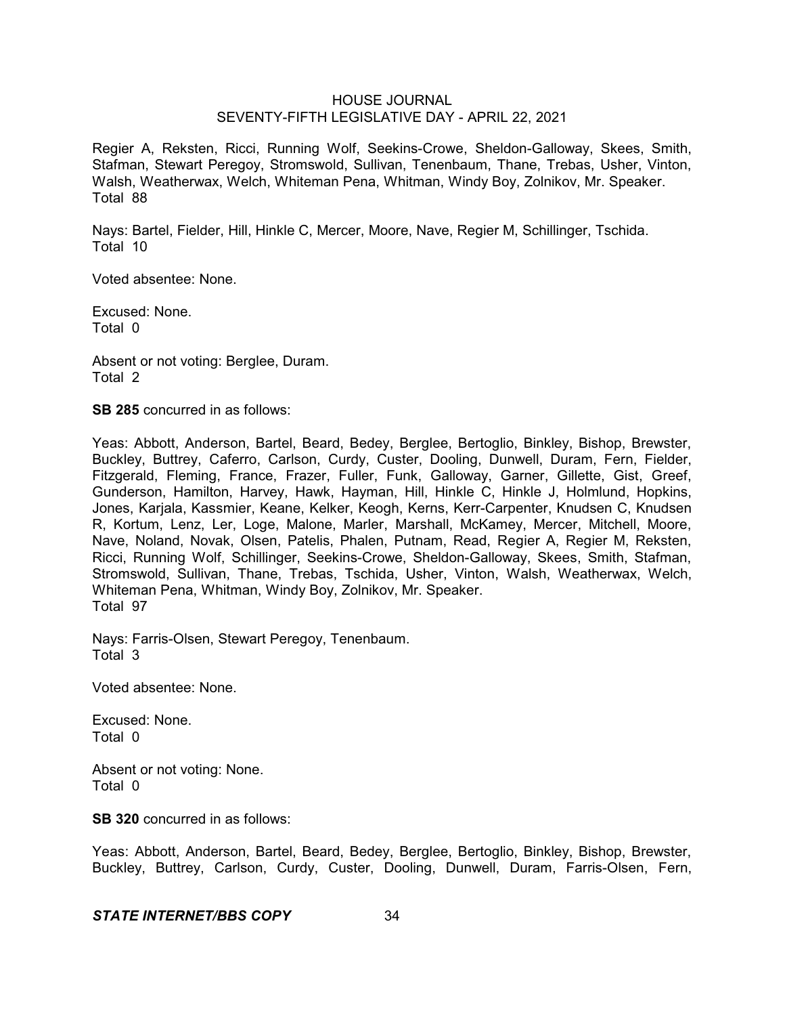Regier A, Reksten, Ricci, Running Wolf, Seekins-Crowe, Sheldon-Galloway, Skees, Smith, Stafman, Stewart Peregoy, Stromswold, Sullivan, Tenenbaum, Thane, Trebas, Usher, Vinton, Walsh, Weatherwax, Welch, Whiteman Pena, Whitman, Windy Boy, Zolnikov, Mr. Speaker. Total 88

Nays: Bartel, Fielder, Hill, Hinkle C, Mercer, Moore, Nave, Regier M, Schillinger, Tschida. Total 10

Voted absentee: None.

Excused: None. Total 0

Absent or not voting: Berglee, Duram. Total 2

**SB 285** concurred in as follows:

Yeas: Abbott, Anderson, Bartel, Beard, Bedey, Berglee, Bertoglio, Binkley, Bishop, Brewster, Buckley, Buttrey, Caferro, Carlson, Curdy, Custer, Dooling, Dunwell, Duram, Fern, Fielder, Fitzgerald, Fleming, France, Frazer, Fuller, Funk, Galloway, Garner, Gillette, Gist, Greef, Gunderson, Hamilton, Harvey, Hawk, Hayman, Hill, Hinkle C, Hinkle J, Holmlund, Hopkins, Jones, Karjala, Kassmier, Keane, Kelker, Keogh, Kerns, Kerr-Carpenter, Knudsen C, Knudsen R, Kortum, Lenz, Ler, Loge, Malone, Marler, Marshall, McKamey, Mercer, Mitchell, Moore, Nave, Noland, Novak, Olsen, Patelis, Phalen, Putnam, Read, Regier A, Regier M, Reksten, Ricci, Running Wolf, Schillinger, Seekins-Crowe, Sheldon-Galloway, Skees, Smith, Stafman, Stromswold, Sullivan, Thane, Trebas, Tschida, Usher, Vinton, Walsh, Weatherwax, Welch, Whiteman Pena, Whitman, Windy Boy, Zolnikov, Mr. Speaker. Total 97

Nays: Farris-Olsen, Stewart Peregoy, Tenenbaum. Total 3

Voted absentee: None.

Excused: None. Total 0

Absent or not voting: None. Total 0

**SB 320** concurred in as follows:

Yeas: Abbott, Anderson, Bartel, Beard, Bedey, Berglee, Bertoglio, Binkley, Bishop, Brewster, Buckley, Buttrey, Carlson, Curdy, Custer, Dooling, Dunwell, Duram, Farris-Olsen, Fern,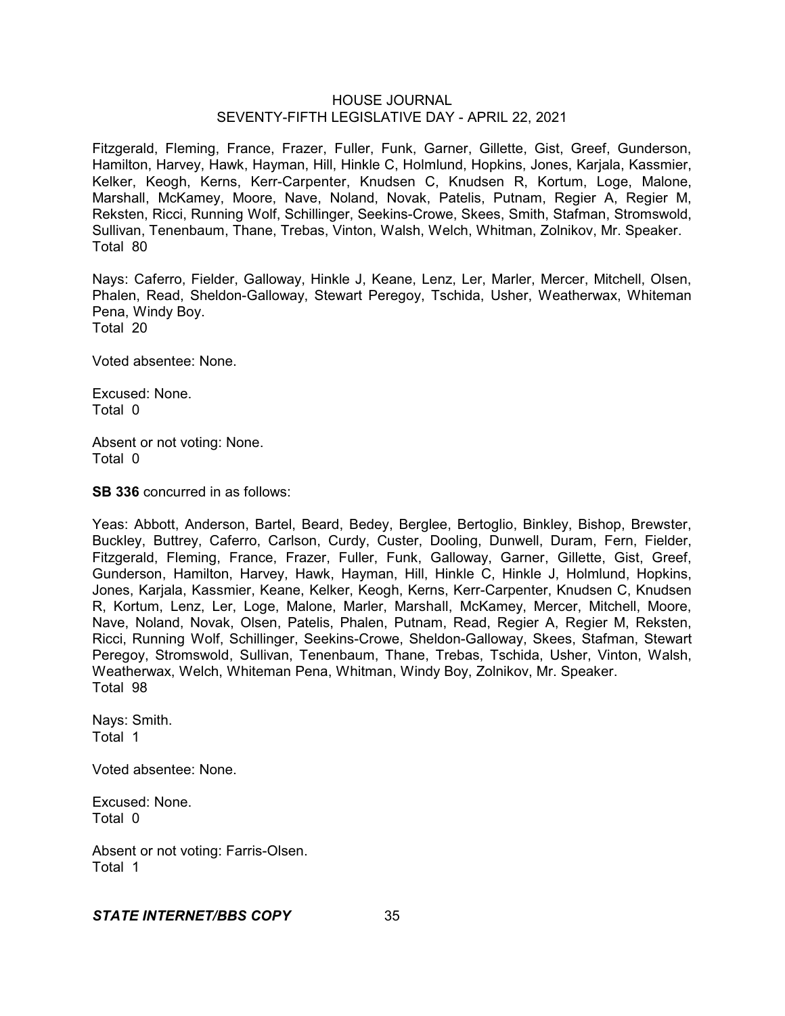Fitzgerald, Fleming, France, Frazer, Fuller, Funk, Garner, Gillette, Gist, Greef, Gunderson, Hamilton, Harvey, Hawk, Hayman, Hill, Hinkle C, Holmlund, Hopkins, Jones, Karjala, Kassmier, Kelker, Keogh, Kerns, Kerr-Carpenter, Knudsen C, Knudsen R, Kortum, Loge, Malone, Marshall, McKamey, Moore, Nave, Noland, Novak, Patelis, Putnam, Regier A, Regier M, Reksten, Ricci, Running Wolf, Schillinger, Seekins-Crowe, Skees, Smith, Stafman, Stromswold, Sullivan, Tenenbaum, Thane, Trebas, Vinton, Walsh, Welch, Whitman, Zolnikov, Mr. Speaker. Total 80

Nays: Caferro, Fielder, Galloway, Hinkle J, Keane, Lenz, Ler, Marler, Mercer, Mitchell, Olsen, Phalen, Read, Sheldon-Galloway, Stewart Peregoy, Tschida, Usher, Weatherwax, Whiteman Pena, Windy Boy. Total 20

Voted absentee: None.

Excused: None. Total 0

Absent or not voting: None. Total 0

**SB 336** concurred in as follows:

Yeas: Abbott, Anderson, Bartel, Beard, Bedey, Berglee, Bertoglio, Binkley, Bishop, Brewster, Buckley, Buttrey, Caferro, Carlson, Curdy, Custer, Dooling, Dunwell, Duram, Fern, Fielder, Fitzgerald, Fleming, France, Frazer, Fuller, Funk, Galloway, Garner, Gillette, Gist, Greef, Gunderson, Hamilton, Harvey, Hawk, Hayman, Hill, Hinkle C, Hinkle J, Holmlund, Hopkins, Jones, Karjala, Kassmier, Keane, Kelker, Keogh, Kerns, Kerr-Carpenter, Knudsen C, Knudsen R, Kortum, Lenz, Ler, Loge, Malone, Marler, Marshall, McKamey, Mercer, Mitchell, Moore, Nave, Noland, Novak, Olsen, Patelis, Phalen, Putnam, Read, Regier A, Regier M, Reksten, Ricci, Running Wolf, Schillinger, Seekins-Crowe, Sheldon-Galloway, Skees, Stafman, Stewart Peregoy, Stromswold, Sullivan, Tenenbaum, Thane, Trebas, Tschida, Usher, Vinton, Walsh, Weatherwax, Welch, Whiteman Pena, Whitman, Windy Boy, Zolnikov, Mr. Speaker. Total 98

Nays: Smith. Total 1

Voted absentee: None.

Excused: None. Total 0

Absent or not voting: Farris-Olsen. Total 1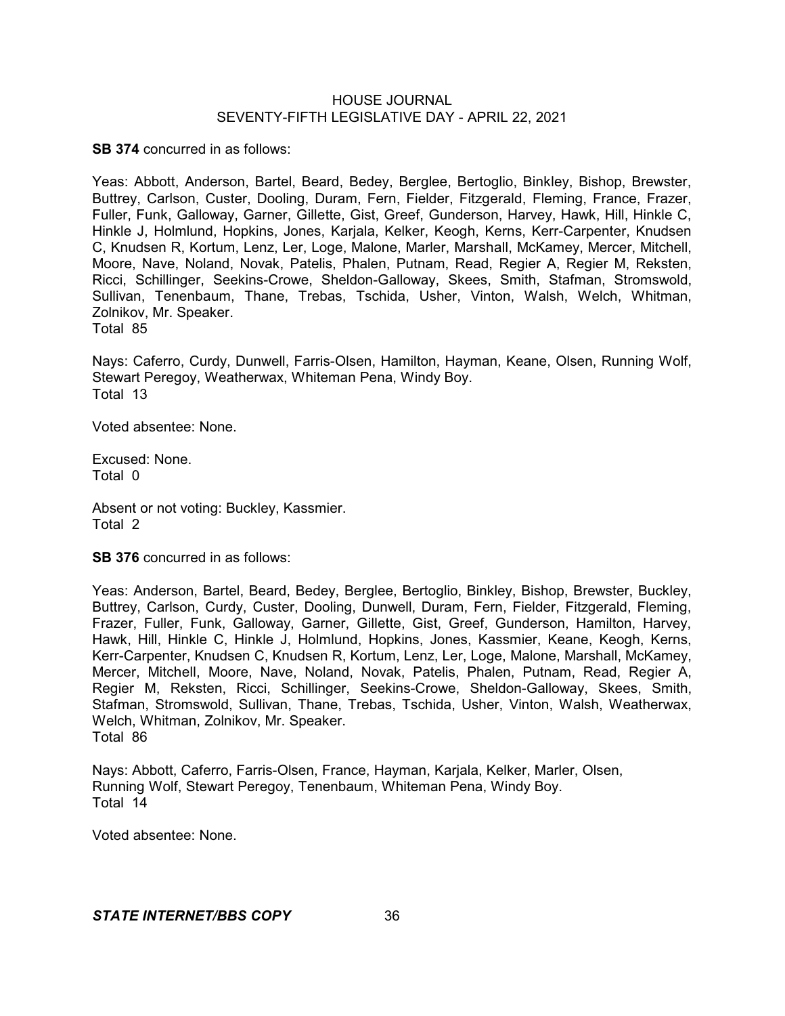**SB 374** concurred in as follows:

Yeas: Abbott, Anderson, Bartel, Beard, Bedey, Berglee, Bertoglio, Binkley, Bishop, Brewster, Buttrey, Carlson, Custer, Dooling, Duram, Fern, Fielder, Fitzgerald, Fleming, France, Frazer, Fuller, Funk, Galloway, Garner, Gillette, Gist, Greef, Gunderson, Harvey, Hawk, Hill, Hinkle C, Hinkle J, Holmlund, Hopkins, Jones, Karjala, Kelker, Keogh, Kerns, Kerr-Carpenter, Knudsen C, Knudsen R, Kortum, Lenz, Ler, Loge, Malone, Marler, Marshall, McKamey, Mercer, Mitchell, Moore, Nave, Noland, Novak, Patelis, Phalen, Putnam, Read, Regier A, Regier M, Reksten, Ricci, Schillinger, Seekins-Crowe, Sheldon-Galloway, Skees, Smith, Stafman, Stromswold, Sullivan, Tenenbaum, Thane, Trebas, Tschida, Usher, Vinton, Walsh, Welch, Whitman, Zolnikov, Mr. Speaker. Total 85

Nays: Caferro, Curdy, Dunwell, Farris-Olsen, Hamilton, Hayman, Keane, Olsen, Running Wolf, Stewart Peregoy, Weatherwax, Whiteman Pena, Windy Boy. Total 13

Voted absentee: None.

Excused: None. Total 0

Absent or not voting: Buckley, Kassmier. Total 2

**SB 376** concurred in as follows:

Yeas: Anderson, Bartel, Beard, Bedey, Berglee, Bertoglio, Binkley, Bishop, Brewster, Buckley, Buttrey, Carlson, Curdy, Custer, Dooling, Dunwell, Duram, Fern, Fielder, Fitzgerald, Fleming, Frazer, Fuller, Funk, Galloway, Garner, Gillette, Gist, Greef, Gunderson, Hamilton, Harvey, Hawk, Hill, Hinkle C, Hinkle J, Holmlund, Hopkins, Jones, Kassmier, Keane, Keogh, Kerns, Kerr-Carpenter, Knudsen C, Knudsen R, Kortum, Lenz, Ler, Loge, Malone, Marshall, McKamey, Mercer, Mitchell, Moore, Nave, Noland, Novak, Patelis, Phalen, Putnam, Read, Regier A, Regier M, Reksten, Ricci, Schillinger, Seekins-Crowe, Sheldon-Galloway, Skees, Smith, Stafman, Stromswold, Sullivan, Thane, Trebas, Tschida, Usher, Vinton, Walsh, Weatherwax, Welch, Whitman, Zolnikov, Mr. Speaker. Total 86

Nays: Abbott, Caferro, Farris-Olsen, France, Hayman, Karjala, Kelker, Marler, Olsen, Running Wolf, Stewart Peregoy, Tenenbaum, Whiteman Pena, Windy Boy. Total 14

Voted absentee: None.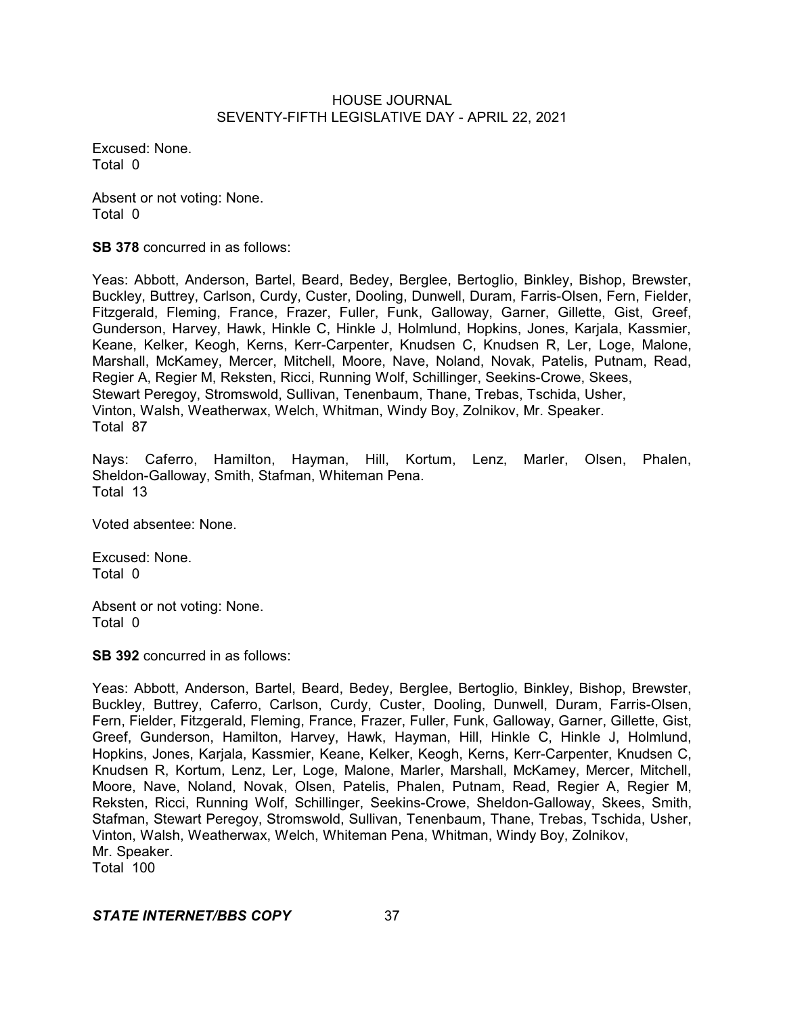Excused: None. Total 0

Absent or not voting: None. Total 0

**SB 378** concurred in as follows:

Yeas: Abbott, Anderson, Bartel, Beard, Bedey, Berglee, Bertoglio, Binkley, Bishop, Brewster, Buckley, Buttrey, Carlson, Curdy, Custer, Dooling, Dunwell, Duram, Farris-Olsen, Fern, Fielder, Fitzgerald, Fleming, France, Frazer, Fuller, Funk, Galloway, Garner, Gillette, Gist, Greef, Gunderson, Harvey, Hawk, Hinkle C, Hinkle J, Holmlund, Hopkins, Jones, Karjala, Kassmier, Keane, Kelker, Keogh, Kerns, Kerr-Carpenter, Knudsen C, Knudsen R, Ler, Loge, Malone, Marshall, McKamey, Mercer, Mitchell, Moore, Nave, Noland, Novak, Patelis, Putnam, Read, Regier A, Regier M, Reksten, Ricci, Running Wolf, Schillinger, Seekins-Crowe, Skees, Stewart Peregoy, Stromswold, Sullivan, Tenenbaum, Thane, Trebas, Tschida, Usher, Vinton, Walsh, Weatherwax, Welch, Whitman, Windy Boy, Zolnikov, Mr. Speaker. Total 87

Nays: Caferro, Hamilton, Hayman, Hill, Kortum, Lenz, Marler, Olsen, Phalen, Sheldon-Galloway, Smith, Stafman, Whiteman Pena. Total 13

Voted absentee: None.

Excused: None. Total 0

Absent or not voting: None. Total 0

**SB 392** concurred in as follows:

Yeas: Abbott, Anderson, Bartel, Beard, Bedey, Berglee, Bertoglio, Binkley, Bishop, Brewster, Buckley, Buttrey, Caferro, Carlson, Curdy, Custer, Dooling, Dunwell, Duram, Farris-Olsen, Fern, Fielder, Fitzgerald, Fleming, France, Frazer, Fuller, Funk, Galloway, Garner, Gillette, Gist, Greef, Gunderson, Hamilton, Harvey, Hawk, Hayman, Hill, Hinkle C, Hinkle J, Holmlund, Hopkins, Jones, Karjala, Kassmier, Keane, Kelker, Keogh, Kerns, Kerr-Carpenter, Knudsen C, Knudsen R, Kortum, Lenz, Ler, Loge, Malone, Marler, Marshall, McKamey, Mercer, Mitchell, Moore, Nave, Noland, Novak, Olsen, Patelis, Phalen, Putnam, Read, Regier A, Regier M, Reksten, Ricci, Running Wolf, Schillinger, Seekins-Crowe, Sheldon-Galloway, Skees, Smith, Stafman, Stewart Peregoy, Stromswold, Sullivan, Tenenbaum, Thane, Trebas, Tschida, Usher, Vinton, Walsh, Weatherwax, Welch, Whiteman Pena, Whitman, Windy Boy, Zolnikov, Mr. Speaker. Total 100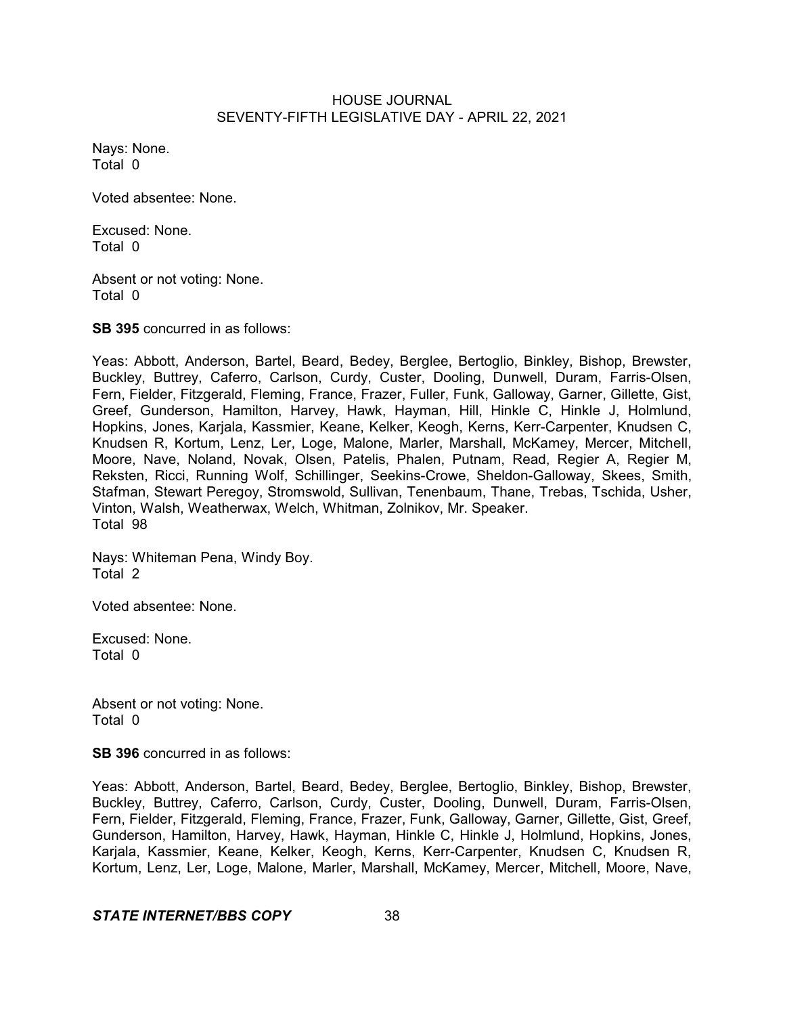Nays: None. Total 0

Voted absentee: None.

Excused: None. Total 0

Absent or not voting: None. Total 0

**SB 395** concurred in as follows:

Yeas: Abbott, Anderson, Bartel, Beard, Bedey, Berglee, Bertoglio, Binkley, Bishop, Brewster, Buckley, Buttrey, Caferro, Carlson, Curdy, Custer, Dooling, Dunwell, Duram, Farris-Olsen, Fern, Fielder, Fitzgerald, Fleming, France, Frazer, Fuller, Funk, Galloway, Garner, Gillette, Gist, Greef, Gunderson, Hamilton, Harvey, Hawk, Hayman, Hill, Hinkle C, Hinkle J, Holmlund, Hopkins, Jones, Karjala, Kassmier, Keane, Kelker, Keogh, Kerns, Kerr-Carpenter, Knudsen C, Knudsen R, Kortum, Lenz, Ler, Loge, Malone, Marler, Marshall, McKamey, Mercer, Mitchell, Moore, Nave, Noland, Novak, Olsen, Patelis, Phalen, Putnam, Read, Regier A, Regier M, Reksten, Ricci, Running Wolf, Schillinger, Seekins-Crowe, Sheldon-Galloway, Skees, Smith, Stafman, Stewart Peregoy, Stromswold, Sullivan, Tenenbaum, Thane, Trebas, Tschida, Usher, Vinton, Walsh, Weatherwax, Welch, Whitman, Zolnikov, Mr. Speaker. Total 98

Nays: Whiteman Pena, Windy Boy. Total 2

Voted absentee: None.

Excused: None. Total 0

Absent or not voting: None. Total 0

**SB 396** concurred in as follows:

Yeas: Abbott, Anderson, Bartel, Beard, Bedey, Berglee, Bertoglio, Binkley, Bishop, Brewster, Buckley, Buttrey, Caferro, Carlson, Curdy, Custer, Dooling, Dunwell, Duram, Farris-Olsen, Fern, Fielder, Fitzgerald, Fleming, France, Frazer, Funk, Galloway, Garner, Gillette, Gist, Greef, Gunderson, Hamilton, Harvey, Hawk, Hayman, Hinkle C, Hinkle J, Holmlund, Hopkins, Jones, Karjala, Kassmier, Keane, Kelker, Keogh, Kerns, Kerr-Carpenter, Knudsen C, Knudsen R, Kortum, Lenz, Ler, Loge, Malone, Marler, Marshall, McKamey, Mercer, Mitchell, Moore, Nave,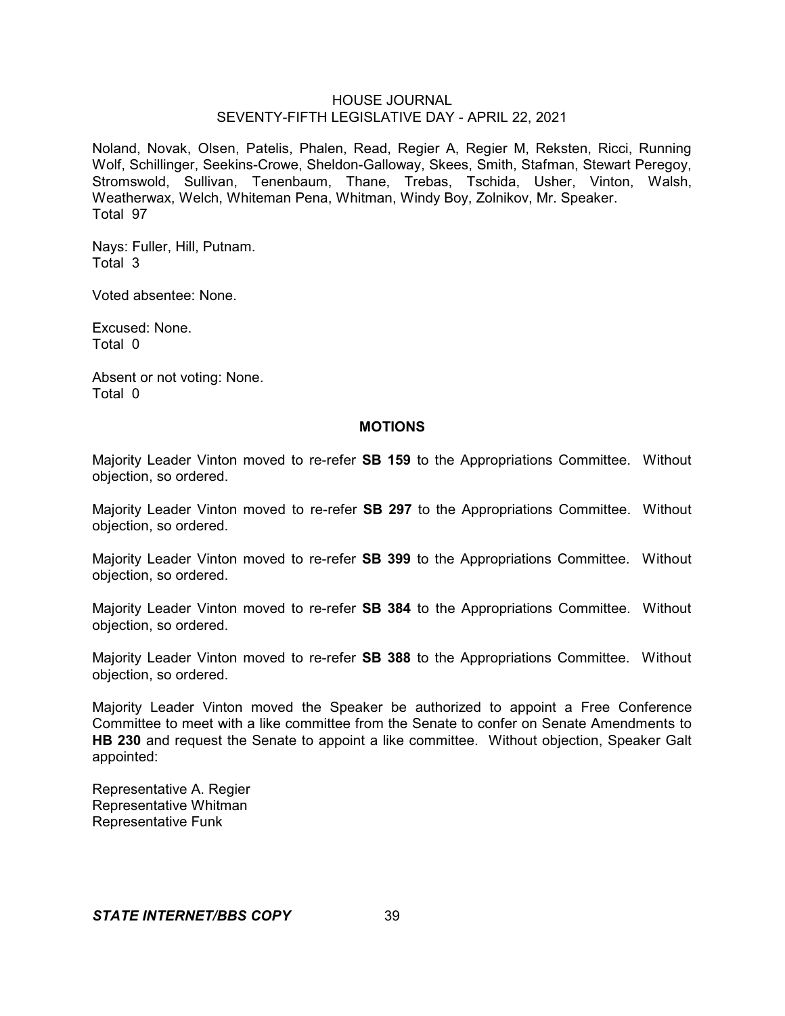Noland, Novak, Olsen, Patelis, Phalen, Read, Regier A, Regier M, Reksten, Ricci, Running Wolf, Schillinger, Seekins-Crowe, Sheldon-Galloway, Skees, Smith, Stafman, Stewart Peregoy, Stromswold, Sullivan, Tenenbaum, Thane, Trebas, Tschida, Usher, Vinton, Walsh, Weatherwax, Welch, Whiteman Pena, Whitman, Windy Boy, Zolnikov, Mr. Speaker. Total 97

Nays: Fuller, Hill, Putnam. Total 3

Voted absentee: None.

Excused: None. Total 0

Absent or not voting: None. Total 0

#### **MOTIONS**

Majority Leader Vinton moved to re-refer **SB 159** to the Appropriations Committee. Without objection, so ordered.

Majority Leader Vinton moved to re-refer **SB 297** to the Appropriations Committee. Without objection, so ordered.

Majority Leader Vinton moved to re-refer **SB 399** to the Appropriations Committee. Without objection, so ordered.

Majority Leader Vinton moved to re-refer **SB 384** to the Appropriations Committee. Without objection, so ordered.

Majority Leader Vinton moved to re-refer **SB 388** to the Appropriations Committee. Without objection, so ordered.

Majority Leader Vinton moved the Speaker be authorized to appoint a Free Conference Committee to meet with a like committee from the Senate to confer on Senate Amendments to **HB 230** and request the Senate to appoint a like committee. Without objection, Speaker Galt appointed:

Representative A. Regier Representative Whitman Representative Funk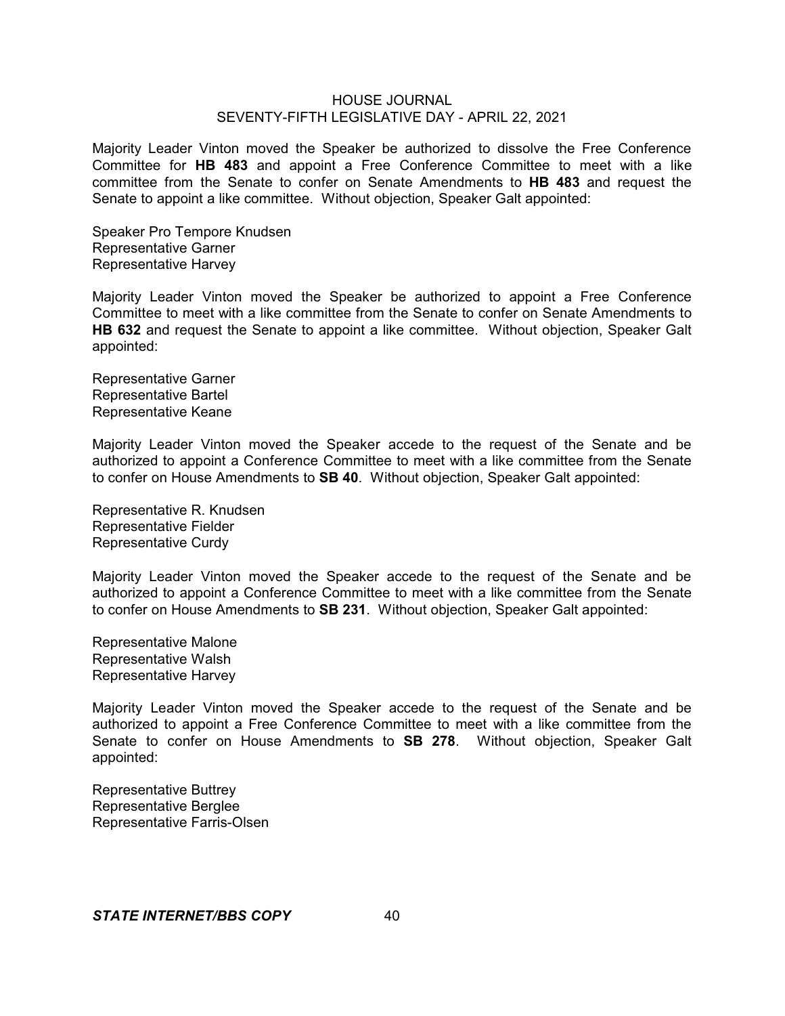Majority Leader Vinton moved the Speaker be authorized to dissolve the Free Conference Committee for **HB 483** and appoint a Free Conference Committee to meet with a like committee from the Senate to confer on Senate Amendments to **HB 483** and request the Senate to appoint a like committee. Without objection, Speaker Galt appointed:

Speaker Pro Tempore Knudsen Representative Garner Representative Harvey

Majority Leader Vinton moved the Speaker be authorized to appoint a Free Conference Committee to meet with a like committee from the Senate to confer on Senate Amendments to **HB 632** and request the Senate to appoint a like committee. Without objection, Speaker Galt appointed:

Representative Garner Representative Bartel Representative Keane

Majority Leader Vinton moved the Speaker accede to the request of the Senate and be authorized to appoint a Conference Committee to meet with a like committee from the Senate to confer on House Amendments to **SB 40**. Without objection, Speaker Galt appointed:

Representative R. Knudsen Representative Fielder Representative Curdy

Majority Leader Vinton moved the Speaker accede to the request of the Senate and be authorized to appoint a Conference Committee to meet with a like committee from the Senate to confer on House Amendments to **SB 231**. Without objection, Speaker Galt appointed:

Representative Malone Representative Walsh Representative Harvey

Majority Leader Vinton moved the Speaker accede to the request of the Senate and be authorized to appoint a Free Conference Committee to meet with a like committee from the Senate to confer on House Amendments to **SB 278**. Without objection, Speaker Galt appointed:

Representative Buttrey Representative Berglee Representative Farris-Olsen